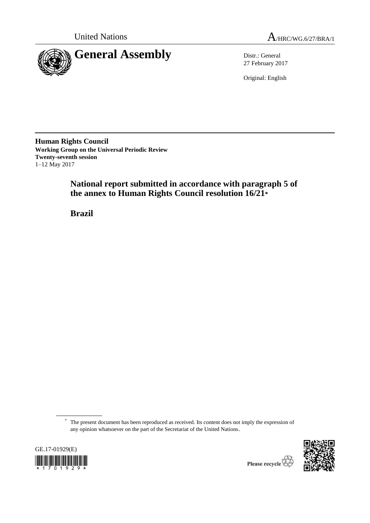



27 February 2017

Original: English

**Human Rights Council Working Group on the Universal Periodic Review Twenty-seventh session** 1–12 May 2017

> **National report submitted in accordance with paragraph 5 of the annex to Human Rights Council resolution 16/21\***

**Brazil**

<sup>\*</sup> The present document has been reproduced as received. Its content does not imply the expression of any opinion whatsoever on the part of the Secretariat of the United Nations.





Please recycle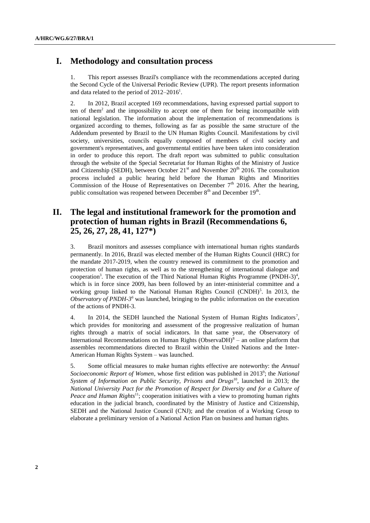## **I. Methodology and consultation process**

1. This report assesses Brazil's compliance with the recommendations accepted during the Second Cycle of the Universal Periodic Review (UPR). The report presents information and data related to the period of  $2012-2016^1$ .

2. In 2012, Brazil accepted 169 recommendations, having expressed partial support to ten of them<sup>2</sup> and the impossibility to accept one of them for being incompatible with national legislation. The information about the implementation of recommendations is organized according to themes, following as far as possible the same structure of the Addendum presented by Brazil to the UN Human Rights Council. Manifestations by civil society, universities, councils equally composed of members of civil society and government's representatives, and governmental entities have been taken into consideration in order to produce this report. The draft report was submitted to public consultation through the website of the Special Secretariat for Human Rights of the Ministry of Justice and Citizenship (SEDH), between October  $21<sup>st</sup>$  and November 20<sup>th</sup> 2016. The consultation process included a public hearing held before the Human Rights and Minorities Commission of the House of Representatives on December  $7<sup>th</sup>$  2016. After the hearing, public consultation was reopened between December  $8<sup>th</sup>$  and December  $19<sup>th</sup>$ .

# **II. The legal and institutional framework for the promotion and protection of human rights in Brazil (Recommendations 6, 25, 26, 27, 28, 41, 127\*)**

3. Brazil monitors and assesses compliance with international human rights standards permanently. In 2016, Brazil was elected member of the Human Rights Council (HRC) for the mandate 2017-2019, when the country renewed its commitment to the promotion and protection of human rights, as well as to the strengthening of international dialogue and cooperation<sup>3</sup>. The execution of the Third National Human Rights Programme (PNDH-3)<sup>4</sup>, which is in force since 2009, has been followed by an inter-ministerial committee and a working group linked to the National Human Rights Council (CNDH)<sup>5</sup>. In 2013, the *Observatory of PNDH-3<sup>6</sup>* was launched, bringing to the public information on the execution of the actions of PNDH-3.

4. In 2014, the SEDH launched the National System of Human Rights Indicators<sup>7</sup>, which provides for monitoring and assessment of the progressive realization of human rights through a matrix of social indicators. In that same year, the Observatory of International Recommendations on Human Rights (ObservaDH) $8 -$  an online platform that assembles recommendations directed to Brazil within the United Nations and the Inter-American Human Rights System – was launched.

5. Some official measures to make human rights effective are noteworthy: the *Annual*  Socioeconomic Report of Women, whose first edition was published in 2013<sup>9</sup>; the *National System of Information on Public Security, Prisons and Drugs*<sup>10</sup>, launched in 2013; the *National University Pact for the Promotion of Respect for Diversity and for a Culture of Peace and Human Rights*<sup>11</sup>; cooperation initiatives with a view to promoting human rights education in the judicial branch, coordinated by the Ministry of Justice and Citizenship, SEDH and the National Justice Council (CNJ); and the creation of a Working Group to elaborate a preliminary version of a National Action Plan on business and human rights.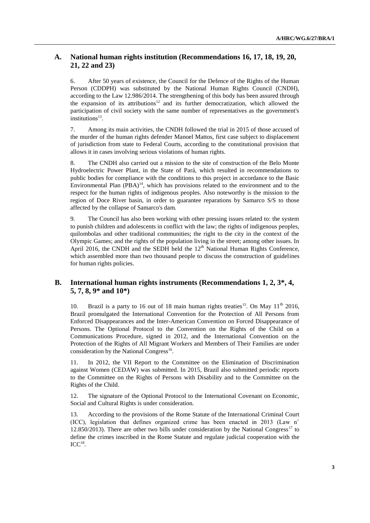## **A. National human rights institution (Recommendations 16, 17, 18, 19, 20, 21, 22 and 23)**

6. After 50 years of existence, the Council for the Defence of the Rights of the Human Person (CDDPH) was substituted by the National Human Rights Council (CNDH), according to the Law 12.986/2014. The strengthening of this body has been assured through the expansion of its attributions<sup>12</sup> and its further democratization, which allowed the participation of civil society with the same number of representatives as the government's institutions<sup>13</sup>.

7. Among its main activities, the CNDH followed the trial in 2015 of those accused of the murder of the human rights defender Manoel Mattos, first case subject to displacement of jurisdiction from state to Federal Courts, according to the constitutional provision that allows it in cases involving serious violations of human rights.

8. The CNDH also carried out a mission to the site of construction of the Belo Monte Hydroelectric Power Plant, in the State of Pará, which resulted in recommendations to public bodies for compliance with the conditions to this project in accordance to the Basic Environmental Plan  $(PBA)^{14}$ , which has provisions related to the environment and to the respect for the human rights of indigenous peoples. Also noteworthy is the mission to the region of Doce River basin, in order to guarantee reparations by Samarco S/S to those affected by the collapse of Samarco's dam.

9. The Council has also been working with other pressing issues related to: the system to punish children and adolescents in conflict with the law; the rights of indigenous peoples, quilombolas and other traditional communities; the right to the city in the context of the Olympic Games; and the rights of the population living in the street; among other issues. In April 2016, the CNDH and the SEDH held the  $12<sup>th</sup>$  National Human Rights Conference, which assembled more than two thousand people to discuss the construction of guidelines for human rights policies.

## **B. International human rights instruments (Recommendations 1, 2, 3\*, 4, 5, 7, 8, 9\* and 10\*)**

10. Brazil is a party to 16 out of 18 main human rights treaties<sup>15</sup>. On May  $11<sup>th</sup>$  2016, Brazil promulgated the International Convention for the Protection of All Persons from Enforced Disappearances and the Inter-American Convention on Forced Disappearance of Persons. The Optional Protocol to the Convention on the Rights of the Child on a Communications Procedure, signed in 2012, and the International Convention on the Protection of the Rights of All Migrant Workers and Members of Their Families are under consideration by the National Congress<sup>16</sup>.

11. In 2012, the VII Report to the Committee on the Elimination of Discrimination against Women (CEDAW) was submitted. In 2015, Brazil also submitted periodic reports to the Committee on the Rights of Persons with Disability and to the Committee on the Rights of the Child.

12. The signature of the Optional Protocol to the International Covenant on Economic, Social and Cultural Rights is under consideration.

13. According to the provisions of the Rome Statute of the International Criminal Court (ICC), legislation that defines organized crime has been enacted in 2013 (Law n˚ 12.850/2013). There are other two bills under consideration by the National Congress<sup>17</sup> to define the crimes inscribed in the Rome Statute and regulate judicial cooperation with the  $ICC<sup>18</sup>$ .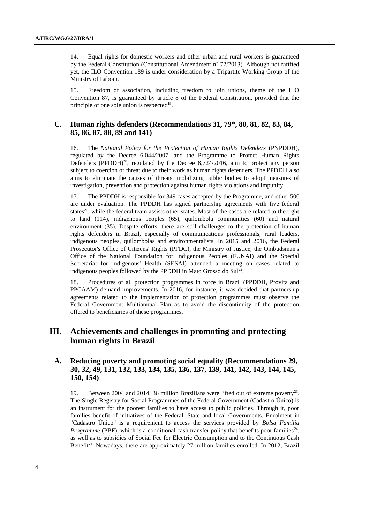14. Equal rights for domestic workers and other urban and rural workers is guaranteed by the Federal Constitution (Constitutional Amendment n˚ 72/2013). Although not ratified yet, the ILO Convention 189 is under consideration by a Tripartite Working Group of the Ministry of Labour.

15. Freedom of association, including freedom to join unions, theme of the ILO Convention 87, is guaranteed by article 8 of the Federal Constitution, provided that the principle of one sole union is respected<sup>19</sup>.

### **C. Human rights defenders (Recommendations 31, 79\*, 80, 81, 82, 83, 84, 85, 86, 87, 88, 89 and 141)**

16. The *National Policy for the Protection of Human Rights Defenders* (PNPDDH), regulated by the Decree 6,044/2007, and the Programme to Protect Human Rights Defenders (PPDDH)<sup>20</sup>, regulated by the Decree 8,724/2016, aim to protect any person subject to coercion or threat due to their work as human rights defenders. The PPDDH also aims to eliminate the causes of threats, mobilizing public bodies to adopt measures of investigation, prevention and protection against human rights violations and impunity.

17. The PPDDH is responsible for 349 cases accepted by the Programme, and other 500 are under evaluation. The PPDDH has signed partnership agreements with five federal states<sup>21</sup>, while the federal team assists other states. Most of the cases are related to the right to land (114), indigenous peoples (65), quilombola communities (60) and natural environment (35). Despite efforts, there are still challenges to the protection of human rights defenders in Brazil, especially of communications professionals, rural leaders, indigenous peoples, quilombolas and environmentalists. In 2015 and 2016, the Federal Prosecutor's Office of Citizens' Rights (PFDC), the Ministry of Justice, the Ombudsman's Office of the National Foundation for Indigenous Peoples (FUNAI) and the Special Secretariat for Indigenous' Health (SESAI) attended a meeting on cases related to indigenous peoples followed by the PPDDH in Mato Grosso do Sul $^{22}$ .

18. Procedures of all protection programmes in force in Brazil (PPDDH, Provita and PPCAAM) demand improvements. In 2016, for instance, it was decided that partnership agreements related to the implementation of protection programmes must observe the Federal Government Multiannual Plan as to avoid the discontinuity of the protection offered to beneficiaries of these programmes.

# **III. Achievements and challenges in promoting and protecting human rights in Brazil**

### **A. Reducing poverty and promoting social equality (Recommendations 29, 30, 32, 49, 131, 132, 133, 134, 135, 136, 137, 139, 141, 142, 143, 144, 145, 150, 154)**

19. Between 2004 and 2014, 36 million Brazilians were lifted out of extreme poverty<sup>23</sup>. The Single Registry for Social Programmes of the Federal Government (Cadastro Único) is an instrument for the poorest families to have access to public policies. Through it, poor families benefit of initiatives of the Federal, State and local Governments. Enrolment in "Cadastro Único" is a requirement to access the services provided by *Bolsa Família Programme* (PBF), which is a conditional cash transfer policy that benefits poor families<sup>24</sup>, as well as to subsidies of Social Fee for Electric Consumption and to the Continuous Cash Benefit<sup>25</sup>. Nowadays, there are approximately 27 million families enrolled. In 2012, Brazil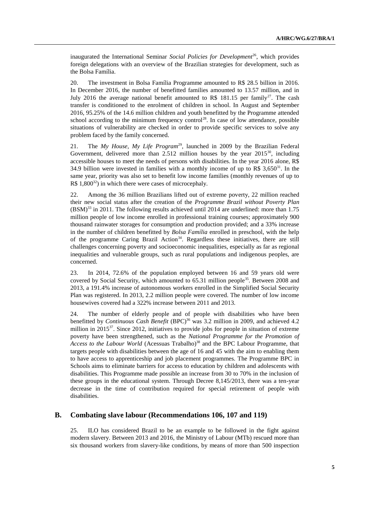inaugurated the International Seminar *Social Policies for Development*<sup>26</sup>, which provides foreign delegations with an overview of the Brazilian strategies for development, such as the Bolsa Família.

20. The investment in Bolsa Família Programme amounted to R\$ 28.5 billion in 2016. In December 2016, the number of benefitted families amounted to 13.57 million, and in July 2016 the average national benefit amounted to R\$ 181.15 per family<sup>27</sup>. The cash transfer is conditioned to the enrolment of children in school. In August and September 2016, 95.25% of the 14.6 million children and youth benefitted by the Programme attended school according to the minimum frequency control<sup>28</sup>. In case of low attendance, possible situations of vulnerability are checked in order to provide specific services to solve any problem faced by the family concerned.

21. The *My House, My Life Program*<sup>29</sup>, launched in 2009 by the Brazilian Federal Government, delivered more than 2.512 million houses by the year  $2015^{30}$ , including accessible houses to meet the needs of persons with disabilities. In the year 2016 alone, R\$ 34.9 billion were invested in families with a monthly income of up to R\$  $3.650^{31}$ . In the same year, priority was also set to benefit low income families (monthly revenues of up to R\$ 1,800 $^{32}$ ) in which there were cases of microcephaly.

22. Among the 36 million Brazilians lifted out of extreme poverty, 22 million reached their new social status after the creation of the *Programme Brazil without Poverty Plan*  $(BSM)^{33}$  in 2011. The following results achieved until 2014 are underlined: more than 1.75 million people of low income enrolled in professional training courses; approximately 900 thousand rainwater storages for consumption and production provided; and a 33% increase in the number of children benefitted by *Bolsa Família* enrolled in preschool, with the help of the programme Caring Brazil Action<sup>34</sup>. Regardless these initiatives, there are still challenges concerning poverty and socioeconomic inequalities, especially as far as regional inequalities and vulnerable groups, such as rural populations and indigenous peoples, are concerned.

23. In 2014, 72.6% of the population employed between 16 and 59 years old were covered by Social Security, which amounted to  $65.31$  million people<sup>35</sup>. Between 2008 and 2013, a 191.4% increase of autonomous workers enrolled in the Simplified Social Security Plan was registered. In 2013, 2.2 million people were covered. The number of low income housewives covered had a 322% increase between 2011 and 2013.

24. The number of elderly people and of people with disabilities who have been benefitted by *Continuous Cash Benefit* (BPC)<sup>36</sup> was 3.2 million in 2009, and achieved 4.2 million in 2015 $^{37}$ . Since 2012, initiatives to provide jobs for people in situation of extreme poverty have been strengthened, such as the *National Programme for the Promotion of*  Access to the Labour World (Acessuas Trabalho)<sup>38</sup> and the BPC Labour Programme, that targets people with disabilities between the age of 16 and 45 with the aim to enabling them to have access to apprenticeship and job placement programmes. The Programme BPC in Schools aims to eliminate barriers for access to education by children and adolescents with disabilities. This Programme made possible an increase from 30 to 70% in the inclusion of these groups in the educational system. Through Decree 8,145/2013, there was a ten-year decrease in the time of contribution required for special retirement of people with disabilities.

### **B. Combating slave labour (Recommendations 106, 107 and 119)**

25. ILO has considered Brazil to be an example to be followed in the fight against modern slavery. Between 2013 and 2016, the Ministry of Labour (MTb) rescued more than six thousand workers from slavery-like conditions, by means of more than 500 inspection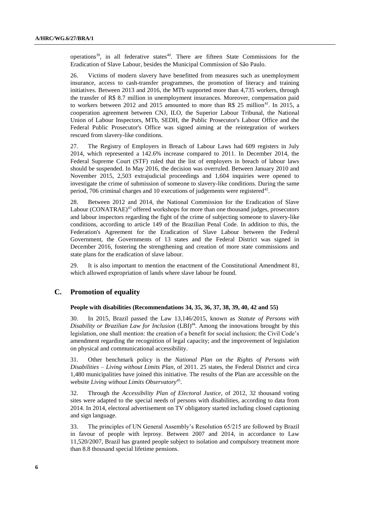operations<sup>39</sup>, in all federative states<sup>40</sup>. There are fifteen State Commissions for the Eradication of Slave Labour, besides the Municipal Commission of São Paulo.

26. Victims of modern slavery have benefitted from measures such as unemployment insurance, access to cash-transfer programmes, the promotion of literacy and training initiatives. Between 2013 and 2016, the MTb supported more than 4,735 workers, through the transfer of R\$ 8.7 million in unemployment insurances. Moreover, compensation paid to workers between 2012 and 2015 amounted to more than R\$ 25 million<sup>41</sup>. In 2015, a cooperation agreement between CNJ, ILO, the Superior Labour Tribunal, the National Union of Labour Inspectors, MTb, SEDH, the Public Prosecutor's Labour Office and the Federal Public Prosecutor's Office was signed aiming at the reintegration of workers rescued from slavery-like conditions.

27. The Registry of Employers in Breach of Labour Laws had 609 registers in July 2014, which represented a 142.6% increase compared to 2011. In December 2014, the Federal Supreme Court (STF) ruled that the list of employers in breach of labour laws should be suspended. In May 2016, the decision was overruled. Between January 2010 and November 2015, 2,503 extrajudicial proceedings and 1,604 inquiries were opened to investigate the crime of submission of someone to slavery-like conditions. During the same period, 706 criminal charges and 10 executions of judgements were registered $42$ .

28. Between 2012 and 2014, the National Commission for the Eradication of Slave Labour (CONATRAE) $^{43}$  offered workshops for more than one thousand judges, prosecutors and labour inspectors regarding the fight of the crime of subjecting someone to slavery-like conditions, according to article 149 of the Brazilian Penal Code. In addition to this, the Federation's Agreement for the Eradication of Slave Labour between the Federal Government, the Governments of 13 states and the Federal District was signed in December 2016, fostering the strengthening and creation of more state commissions and state plans for the eradication of slave labour.

29. It is also important to mention the enactment of the Constitutional Amendment 81, which allowed expropriation of lands where slave labour be found.

### **C. Promotion of equality**

#### **People with disabilities (Recommendations 34, 35, 36, 37, 38, 39, 40, 42 and 55)**

30. In 2015, Brazil passed the Law 13,146/2015, known as *Statute of Persons with Disability or Brazilian Law for Inclusion* (LBI)<sup>44</sup>. Among the innovations brought by this legislation, one shall mention: the creation of a benefit for social inclusion; the Civil Code's amendment regarding the recognition of legal capacity; and the improvement of legislation on physical and communicational accessibility.

31. Other benchmark policy is the *National Plan on the Rights of Persons with Disabilities – Living without Limits Plan*, of 2011. 25 states, the Federal District and circa 1,480 municipalities have joined this initiative. The results of the Plan are accessible on the website Living without Limits Observatory<sup>45</sup>.

32. Through the *Accessibility Plan of Electoral Justice*, of 2012, 32 thousand voting sites were adapted to the special needs of persons with disabilities, according to data from 2014. In 2014, electoral advertisement on TV obligatory started including closed captioning and sign language.

33. The principles of UN General Assembly's Resolution 65/215 are followed by Brazil in favour of people with leprosy. Between 2007 and 2014, in accordance to Law 11,520/2007, Brazil has granted people subject to isolation and compulsory treatment more than 8.8 thousand special lifetime pensions.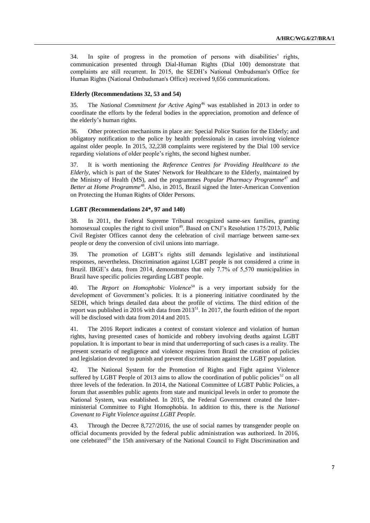34. In spite of progress in the promotion of persons with disabilities' rights, communication presented through Dial-Human Rights (Dial 100) demonstrate that complaints are still recurrent. In 2015, the SEDH's National Ombudsman's Office for Human Rights (National Ombudsman's Office) received 9,656 communications.

#### **Elderly (Recommendations 32, 53 and 54)**

35. The *National Commitment for Active Aging*<sup>46</sup> was established in 2013 in order to coordinate the efforts by the federal bodies in the appreciation, promotion and defence of the elderly's human rights.

36. Other protection mechanisms in place are: Special Police Station for the Elderly; and obligatory notification to the police by health professionals in cases involving violence against older people. In 2015, 32,238 complaints were registered by the Dial 100 service regarding violations of older people's rights, the second highest number.

37. It is worth mentioning the *Reference Centres for Providing Healthcare to the Elderly*, which is part of the States' Network for Healthcare to the Elderly, maintained by the Ministry of Health (MS), and the programmes *Popular Pharmacy Programme*<sup>47</sup> and *Better at Home Programme*<sup>48</sup>. Also, in 2015, Brazil signed the Inter-American Convention on Protecting the Human Rights of Older Persons.

#### **LGBT** *(***Recommendations 24\*, 97 and 140)**

38. In 2011, the Federal Supreme Tribunal recognized same-sex families, granting homosexual couples the right to civil union<sup>49</sup>. Based on CNJ's Resolution 175/2013, Public Civil Register Offices cannot deny the celebration of civil marriage between same-sex people or deny the conversion of civil unions into marriage.

39. The promotion of LGBT's rights still demands legislative and institutional responses, nevertheless. Discrimination against LGBT people is not considered a crime in Brazil. IBGE's data, from 2014, demonstrates that only 7.7% of 5,570 municipalities in Brazil have specific policies regarding LGBT people.

40. The *Report on Homophobic Violence*<sup>50</sup> is a very important subsidy for the development of Government's policies. It is a pioneering initiative coordinated by the SEDH, which brings detailed data about the profile of victims. The third edition of the report was published in 2016 with data from  $2013^{51}$ . In 2017, the fourth edition of the report will be disclosed with data from 2014 and 2015.

41. The 2016 Report indicates a context of constant violence and violation of human rights, having presented cases of homicide and robbery involving deaths against LGBT population. It is important to bear in mind that underreporting of such cases is a reality. The present scenario of negligence and violence requires from Brazil the creation of policies and legislation devoted to punish and prevent discrimination against the LGBT population.

42. The National System for the Promotion of Rights and Fight against Violence suffered by LGBT People of 2013 aims to allow the coordination of public policies<sup>52</sup> on all three levels of the federation. In 2014, the National Committee of LGBT Public Policies, a forum that assembles public agents from state and municipal levels in order to promote the National System, was established. In 2015, the Federal Government created the Interministerial Committee to Fight Homophobia. In addition to this, there is the *National Covenant to Fight Violence against LGBT People*.

43. Through the Decree 8,727/2016, the use of social names by transgender people on official documents provided by the federal public administration was authorized. In 2016, one celebrated<sup>53</sup> the 15th anniversary of the National Council to Fight Discrimination and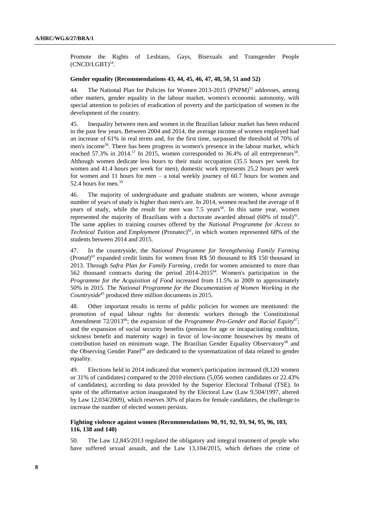Promote the Rights of Lesbians, Gays, Bisexuals and Transgender People  $(CNCD/LGBT)^{54}$ .

#### **Gender equality (Recommendations 43, 44, 45, 46, 47, 48, 50, 51 and 52)**

44. The National Plan for Policies for Women 2013-2015 (PNPM)<sup>55</sup> addresses, among other matters, gender equality in the labour market, women's economic autonomy, with special attention to policies of eradication of poverty and the participation of women in the development of the country.

45. Inequality between men and women in the Brazilian labour market has been reduced in the past few years. Between 2004 and 2014, the average income of women employed had an increase of 61% in real terms and, for the first time, surpassed the threshold of 70% of men's income<sup>56</sup>. There has been progress in women's presence in the labour market, which reached 57.3% in 2014.<sup>57</sup> In 2015, women corresponded to 36.4% of all entrepreneurs<sup>58</sup>. Although women dedicate less hours to their main occupation (35.5 hours per week for women and 41.4 hours per week for men), domestic work represents 25.2 hours per week for women and 11 hours for men – a total weekly journey of 60.7 hours for women and 52.4 hours for men.<sup>59</sup>

46. The majority of undergraduate and graduate students are women, whose average number of years of study is higher than men's are. In 2014, women reached the average of 8 years of study, while the result for men was  $7.5$  years<sup>60</sup>. In this same year, women represented the majority of Brazilians with a doctorate awarded abroad  $(60\%$  of total)<sup>61</sup>. The same applies to training courses offered by the *National Programme for Access to Technical Tuition and Employment* (Pronatec)<sup>62</sup>, in which women represented 68% of the students between 2014 and 2015.

47. In the countryside, the *National Programme for Strengthening Family Farming*   $(Prona f)$ <sup>63</sup> expanded credit limits for women from R\$ 50 thousand to R\$ 150 thousand in 2013. Through *Safra Plan for Family Farming*, credit for women amounted to more than 562 thousand contracts during the period 2014-2015<sup>64</sup>. Women's participation in the *Programme for the Acquisition of Food* increased from 11.5% in 2009 to approximately 50% in 2015. The *National Programme for the Documentation of Women Working in the Countryside*<sup>65</sup> produced three million documents in 2015.

48. Other important results in terms of public policies for women are mentioned: the promotion of equal labour rights for domestic workers through the Constitutional Amendment 72/2013<sup>66</sup>; the expansion of the *Programme Pro-Gender and Racial Equity*<sup>67</sup>; and the expansion of social security benefits (pension for age or incapacitating condition, sickness benefit and maternity wage) in favor of low-income housewives by means of contribution based on minimum wage. The Brazilian Gender Equality Observatory<sup>68</sup> and the Observing Gender Panel<sup>69</sup> are dedicated to the systematization of data related to gender equality.

49. Elections held in 2014 indicated that women's participation increased (8,120 women or 31% of candidates) compared to the 2010 elections (5,056 women candidates or 22.43% of candidates), according to data provided by the Superior Electoral Tribunal (TSE). In spite of the affirmative action inaugurated by the Electoral Law (Law 9,504/1997, altered by Law 12,034/2009), which reserves 30% of places for female candidates, the challenge to increase the number of elected women persists.

#### **Fighting violence against women (Recommendations 90, 91, 92, 93, 94, 95, 96, 103, 116, 138 and 140)**

50. The Law 12,845/2013 regulated the obligatory and integral treatment of people who have suffered sexual assault, and the Law 13,104/2015, which defines the crime of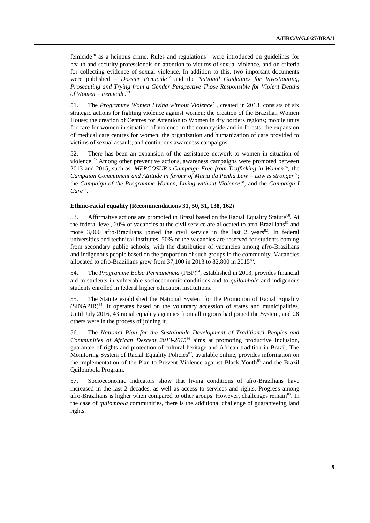femicide<sup>70</sup> as a heinous crime. Rules and regulations<sup>71</sup> were introduced on guidelines for health and security professionals on attention to victims of sexual violence, and on criteria for collecting evidence of sexual violence. In addition to this, two important documents were published – *Dossier Femicide*<sup>72</sup> and the *National Guidelines for Investigating, Prosecuting and Trying from a Gender Perspective Those Responsible for Violent Deaths of Women – Femicide.*<sup>73</sup>

51. The *Programme Women Living without Violence*<sup>74</sup>, created in 2013, consists of six strategic actions for fighting violence against women: the creation of the Brazilian Women House; the creation of Centres for Attention to Women in dry borders regions; mobile units for care for women in situation of violence in the countryside and in forests; the expansion of medical care centres for women; the organization and humanization of care provided to victims of sexual assault; and continuous awareness campaigns.

52. There has been an expansion of the assistance network to women in situation of violence.<sup>75</sup> Among other preventive actions, awareness campaigns were promoted between 2013 and 2015, such as: *MERCOSUR's Campaign Free from Trafficking in Women*<sup>76</sup>*;* the *Campaign Commitment and Attitude in favour of Maria da Penha Law – Law is stronger*<sup>77</sup>; the *Campaign of the Programme Women, Living without Violence*<sup>78</sup>; and the *Campaign I*  Care<sup>79</sup>.

#### **Ethnic-racial equality (Recommendations 31, 50, 51, 138, 162)**

53. Affirmative actions are promoted in Brazil based on the Racial Equality Statute<sup>80</sup>. At the federal level, 20% of vacancies at the civil service are allocated to afro-Brazilians<sup>81</sup> and more  $3,000$  afro-Brazilians joined the civil service in the last 2 years<sup>82</sup>. In federal universities and technical institutes, 50% of the vacancies are reserved for students coming from secondary public schools, with the distribution of vacancies among afro-Brazilians and indigenous people based on the proportion of such groups in the community. Vacancies allocated to afro-Brazilians grew from  $37,100$  in 2013 to  $82,800$  in  $2015^{83}$ .

54. The *Programme Bolsa Permanência* (PBP)<sup>84</sup>, established in 2013, provides financial aid to students in vulnerable socioeconomic conditions and to *quilombola* and indigenous students enrolled in federal higher education institutions.

55. The Statute established the National System for the Promotion of Racial Equality  $(SINAPIR)^{85}$ . It operates based on the voluntary accession of states and municipalities. Until July 2016, 43 racial equality agencies from all regions had joined the System, and 28 others were in the process of joining it.

56. The *National Plan for the Sustainable Development of Traditional Peoples and Communities of African Descent 2013-2015*<sup>86</sup> aims at promoting productive inclusion, guarantee of rights and protection of cultural heritage and African tradition in Brazil. The Monitoring System of Racial Equality Policies<sup>87</sup>, available online, provides information on the implementation of the Plan to Prevent Violence against Black Youth<sup>88</sup> and the Brazil Quilombola Program.

57. Socioeconomic indicators show that living conditions of afro-Brazilians have increased in the last 2 decades, as well as access to services and rights. Progress among afro-Brazilians is higher when compared to other groups. However, challenges remain<sup>89</sup>. In the case of *quilombola* communities, there is the additional challenge of guaranteeing land rights.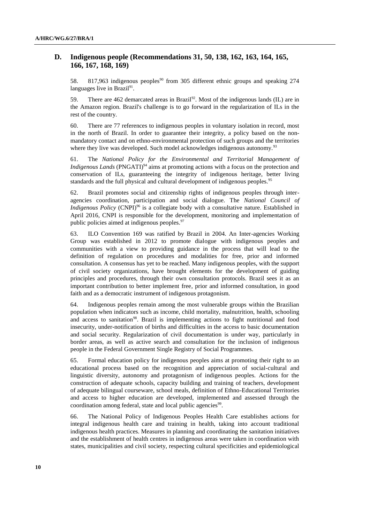## **D. Indigenous people (Recommendations 31, 50, 138, 162, 163, 164, 165, 166, 167, 168, 169)**

58. 817,963 indigenous peoples<sup>90</sup> from 305 different ethnic groups and speaking 274 languages live in Brazil<sup>91</sup>.

59. There are 462 demarcated areas in Brazil<sup>92</sup>. Most of the indigenous lands (IL) are in the Amazon region. Brazil's challenge is to go forward in the regularization of ILs in the rest of the country.

60. There are 77 references to indigenous peoples in voluntary isolation in record, most in the north of Brazil. In order to guarantee their integrity, a policy based on the nonmandatory contact and on ethno-environmental protection of such groups and the territories where they live was developed. Such model acknowledges indigenous autonomy.<sup>93</sup>

61. The *National Policy for the Environmental and Territorial Management of Indigenous Lands* (PNGATI)<sup>94</sup> aims at promoting actions with a focus on the protection and conservation of ILs, guaranteeing the integrity of indigenous heritage, better living standards and the full physical and cultural development of indigenous peoples.<sup>95</sup>

62. Brazil promotes social and citizenship rights of indigenous peoples through interagencies coordination, participation and social dialogue. The *National Council of Indigenous Policy* (CNPI)<sup>96</sup> is a collegiate body with a consultative nature. Established in April 2016, CNPI is responsible for the development, monitoring and implementation of public policies aimed at indigenous peoples.<sup>97</sup>

63. ILO Convention 169 was ratified by Brazil in 2004. An Inter-agencies Working Group was established in 2012 to promote dialogue with indigenous peoples and communities with a view to providing guidance in the process that will lead to the definition of regulation on procedures and modalities for free, prior and informed consultation. A consensus has yet to be reached. Many indigenous peoples, with the support of civil society organizations, have brought elements for the development of guiding principles and procedures, through their own consultation protocols. Brazil sees it as an important contribution to better implement free, prior and informed consultation, in good faith and as a democratic instrument of indigenous protagonism.

64. Indigenous peoples remain among the most vulnerable groups within the Brazilian population when indicators such as income, child mortality, malnutrition, health, schooling and access to sanitation<sup>98</sup>. Brazil is implementing actions to fight nutritional and food insecurity, under-notification of births and difficulties in the access to basic documentation and social security. Regularization of civil documentation is under way, particularly in border areas, as well as active search and consultation for the inclusion of indigenous people in the Federal Government Single Registry of Social Programmes.

65. Formal education policy for indigenous peoples aims at promoting their right to an educational process based on the recognition and appreciation of social-cultural and linguistic diversity, autonomy and protagonism of indigenous peoples. Actions for the construction of adequate schools, capacity building and training of teachers, development of adequate bilingual courseware, school meals, definition of Ethno-Educational Territories and access to higher education are developed, implemented and assessed through the coordination among federal, state and local public agencies<sup>99</sup>.

66. The National Policy of Indigenous Peoples Health Care establishes actions for integral indigenous health care and training in health, taking into account traditional indigenous health practices. Measures in planning and coordinating the sanitation initiatives and the establishment of health centres in indigenous areas were taken in coordination with states, municipalities and civil society, respecting cultural specificities and epidemiological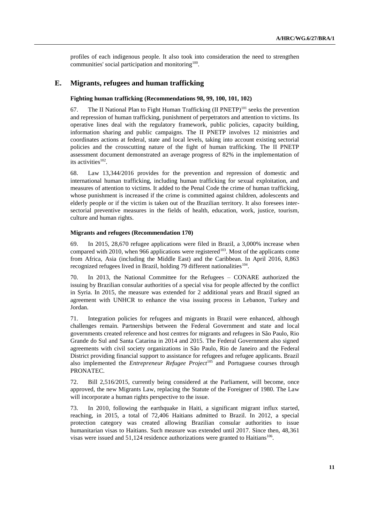profiles of each indigenous people. It also took into consideration the need to strengthen communities' social participation and monitoring $100$ .

#### **E. Migrants, refugees and human trafficking**

#### **Fighting human trafficking (Recommendations 98, 99, 100, 101, 102)**

67. The II National Plan to Fight Human Trafficking  $(II PNETP)^{101}$  seeks the prevention and repression of human trafficking, punishment of perpetrators and attention to victims. Its operative lines deal with the regulatory framework, public policies, capacity building, information sharing and public campaigns. The II PNETP involves 12 ministries and coordinates actions at federal, state and local levels, taking into account existing sectorial policies and the crosscutting nature of the fight of human trafficking. The II PNETP assessment document demonstrated an average progress of 82% in the implementation of its activities $102$ .

68. Law 13,344/2016 provides for the prevention and repression of domestic and international human trafficking, including human trafficking for sexual exploitation, and measures of attention to victims. It added to the Penal Code the crime of human trafficking, whose punishment is increased if the crime is committed against children, adolescents and elderly people or if the victim is taken out of the Brazilian territory. It also foresees intersectorial preventive measures in the fields of health, education, work, justice, tourism, culture and human rights.

#### **Migrants and refugees (Recommendation 170)**

69. In 2015, 28,670 refugee applications were filed in Brazil, a 3,000% increase when compared with 2010, when 966 applications were registered<sup>103</sup>. Most of the applicants come from Africa, Asia (including the Middle East) and the Caribbean. In April 2016, 8,863 recognized refugees lived in Brazil, holding 79 different nationalities<sup>104</sup>.

70. In 2013, the National Committee for the Refugees – CONARE authorized the issuing by Brazilian consular authorities of a special visa for people affected by the conflict in Syria. In 2015, the measure was extended for 2 additional years and Brazil signed an agreement with UNHCR to enhance the visa issuing process in Lebanon, Turkey and Jordan.

71. Integration policies for refugees and migrants in Brazil were enhanced, although challenges remain. Partnerships between the Federal Government and state and local governments created reference and host centres for migrants and refugees in São Paulo, Rio Grande do Sul and Santa Catarina in 2014 and 2015. The Federal Government also signed agreements with civil society organizations in São Paulo, Rio de Janeiro and the Federal District providing financial support to assistance for refugees and refugee applicants. Brazil also implemented the *Entrepreneur Refugee Project*<sup>105</sup> and Portuguese courses through PRONATEC.

72. Bill 2,516/2015, currently being considered at the Parliament, will become, once approved, the new Migrants Law, replacing the Statute of the Foreigner of 1980. The Law will incorporate a human rights perspective to the issue.

73. In 2010, following the earthquake in Haiti, a significant migrant influx started, reaching, in 2015, a total of 72,406 Haitians admitted to Brazil. In 2012, a special protection category was created allowing Brazilian consular authorities to issue humanitarian visas to Haitians. Such measure was extended until 2017. Since then, 48,361 visas were issued and  $51,124$  residence authorizations were granted to Haitians<sup>106</sup>.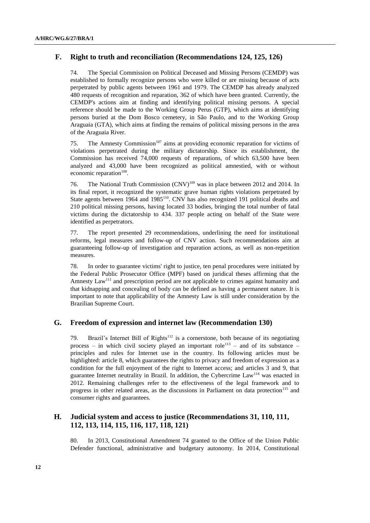## **F. Right to truth and reconciliation (Recommendations 124, 125, 126)**

74. The Special Commission on Political Deceased and Missing Persons (CEMDP) was established to formally recognize persons who were killed or are missing because of acts perpetrated by public agents between 1961 and 1979. The CEMDP has already analyzed 480 requests of recognition and reparation, 362 of which have been granted. Currently, the CEMDP's actions aim at finding and identifying political missing persons. A special reference should be made to the Working Group Perus (GTP), which aims at identifying persons buried at the Dom Bosco cemetery, in São Paulo, and to the Working Group Araguaia (GTA), which aims at finding the remains of political missing persons in the area of the Araguaia River.

75. The Amnesty Commission<sup>107</sup> aims at providing economic reparation for victims of violations perpetrated during the military dictatorship. Since its establishment, the Commission has received 74,000 requests of reparations, of which 63,500 have been analyzed and 43,000 have been recognized as political amnestied, with or without economic reparation<sup>108</sup>.

76. The National Truth Commission (CNV)<sup>109</sup> was in place between 2012 and 2014. In its final report, it recognized the systematic grave human rights violations perpetrated by State agents between 1964 and 1985<sup>110</sup>. CNV has also recognized 191 political deaths and 210 political missing persons, having located 33 bodies, bringing the total number of fatal victims during the dictatorship to 434. 337 people acting on behalf of the State were identified as perpetrators.

77. The report presented 29 recommendations, underlining the need for institutional reforms, legal measures and follow-up of CNV action. Such recommendations aim at guaranteeing follow-up of investigation and reparation actions, as well as non-repetition measures.

78. In order to guarantee victims' right to justice, ten penal procedures were initiated by the Federal Public Prosecutor Office (MPF) based on juridical theses affirming that the Amnesty Law<sup>111</sup> and prescription period are not applicable to crimes against humanity and that kidnapping and concealing of body can be defined as having a permanent nature. It is important to note that applicability of the Amnesty Law is still under consideration by the Brazilian Supreme Court.

### **G. Freedom of expression and internet law (Recommendation 130)**

79. Brazil's Internet Bill of Rights<sup>112</sup> is a cornerstone, both because of its negotiating process – in which civil society played an important role<sup>113</sup> – and of its substance – principles and rules for Internet use in the country. Its following articles must be highlighted: article 8, which guarantees the rights to privacy and freedom of expression as a condition for the full enjoyment of the right to Internet access; and articles 3 and 9, that guarantee Internet neutrality in Brazil. In addition, the Cybercrime Law<sup>114</sup> was enacted in 2012. Remaining challenges refer to the effectiveness of the legal framework and to progress in other related areas, as the discussions in Parliament on data protection<sup>115</sup> and consumer rights and guarantees.

## **H. Judicial system and access to justice (Recommendations 31, 110, 111, 112, 113, 114, 115, 116, 117, 118, 121)**

80. In 2013, Constitutional Amendment 74 granted to the Office of the Union Public Defender functional, administrative and budgetary autonomy. In 2014, Constitutional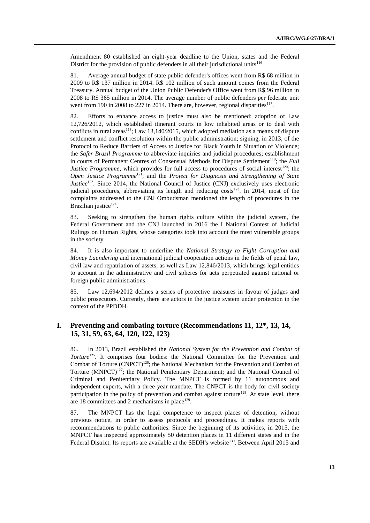Amendment 80 established an eight-year deadline to the Union, states and the Federal District for the provision of public defenders in all their jurisdictional units<sup>116</sup>.

81. Average annual budget of state public defender's offices went from R\$ 68 million in 2009 to R\$ 137 million in 2014. R\$ 102 million of such amount comes from the Federal Treasury. Annual budget of the Union Public Defender's Office went from R\$ 96 million in 2008 to R\$ 365 million in 2014. The average number of public defenders per federate unit went from 190 in 2008 to 227 in 2014. There are, however, regional disparities<sup>117</sup>.

82. Efforts to enhance access to justice must also be mentioned: adoption of Law 12,726/2012, which established itinerant courts in low inhabited areas or to deal with conflicts in rural areas<sup>118</sup>; Law 13,140/2015, which adopted mediation as a means of dispute settlement and conflict resolution within the public administration; signing, in 2013, of the Protocol to Reduce Barriers of Access to Justice for Black Youth in Situation of Violence; the *Safer Brazil Programme* to abbreviate inquiries and judicial procedures; establishment in courts of Permanent Centres of Consensual Methods for Dispute Settlement<sup>119</sup>; the *Full Justice Programme*, which provides for full access to procedures of social interest<sup>120</sup>; the *Open Justice Programme*<sup>121</sup>; and the *Project for Diagnosis and Strengthening of State Justice*<sup>122</sup>. Since 2014, the National Council of Justice (CNJ) exclusively uses electronic judicial procedures, abbreviating its length and reducing  $costs<sup>123</sup>$ . In 2014, most of the complaints addressed to the CNJ Ombudsman mentioned the length of procedures in the Brazilian justice<sup>124</sup>.

83. Seeking to strengthen the human rights culture within the judicial system, the Federal Government and the CNJ launched in 2016 the I National Contest of Judicial Rulings on Human Rights, whose categories took into account the most vulnerable groups in the society.

84. It is also important to underline the *National Strategy to Fight Corruption and Money Laundering* and international judicial cooperation actions in the fields of penal law, civil law and repatriation of assets, as well as Law 12,846/2013, which brings legal entities to account in the administrative and civil spheres for acts perpetrated against national or foreign public administrations.

85. Law 12,694/2012 defines a series of protective measures in favour of judges and public prosecutors. Currently, there are actors in the justice system under protection in the context of the PPDDH.

## **I. Preventing and combating torture (Recommendations 11, 12\*, 13, 14, 15, 31, 59, 63, 64, 120, 122, 123)**

86. In 2013, Brazil established the *National System for the Prevention and Combat of Torture*<sup>125</sup>. It comprises four bodies: the National Committee for the Prevention and Combat of Torture (CNPCT)<sup>126</sup>; the National Mechanism for the Prevention and Combat of Torture (MNPCT)<sup>127</sup>; the National Penitentiary Department; and the National Council of Criminal and Penitentiary Policy. The MNPCT is formed by 11 autonomous and independent experts, with a three-year mandate. The CNPCT is the body for civil society participation in the policy of prevention and combat against torture<sup>128</sup>. At state level, there are 18 committees and 2 mechanisms in place $129$ .

87. The MNPCT has the legal competence to inspect places of detention, without previous notice, in order to assess protocols and proceedings. It makes reports with recommendations to public authorities. Since the beginning of its activities, in 2015, the MNPCT has inspected approximately 50 detention places in 11 different states and in the Federal District. Its reports are available at the SEDH's website<sup>130</sup>. Between April 2015 and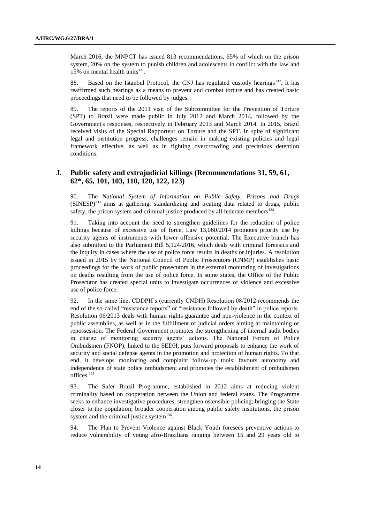March 2016, the MNPCT has issued 813 recommendations, 65% of which on the prison system, 20% on the system to punish children and adolescents in conflict with the law and 15% on mental health units $131$ .

88. Based on the Istanbul Protocol, the CNJ has regulated custody hearings<sup>132</sup>. It has reaffirmed such hearings as a means to prevent and combat torture and has created basic proceedings that need to be followed by judges.

89. The reports of the 2011 visit of the Subcommittee for the Prevention of Torture (SPT) to Brazil were made public in July 2012 and March 2014, followed by the Government's responses, respectively in February 2013 and March 2014. In 2015, Brazil received visits of the Special Rapporteur on Torture and the SPT. In spite of significant legal and institution progress, challenges remain in making existing policies and legal framework effective, as well as in fighting overcrowding and precarious detention conditions.

## **J. Public safety and extrajudicial killings (Recommendations 31, 59, 61, 62\*, 65, 101, 103, 110, 120, 122, 123)**

90. The *National System of Information on Public Safety, Prisons and Drugs*  $(SINESP)^{133}$  aims at gathering, standardizing and treating data related to drugs, public safety, the prison system and criminal justice produced by all federate members $^{134}$ .

91. Taking into account the need to strengthen guidelines for the reduction of police killings because of excessive use of force, Law 13,060/2014 promotes priority use by security agents of instruments with lower offensive potential. The Executive branch has also submitted to the Parliament Bill 5,124/2016, which deals with criminal forensics and the inquiry in cases where the use of police force results in deaths or injuries. A resolution issued in 2015 by the National Council of Public Prosecutors (CNMP) establishes basic proceedings for the work of public prosecutors in the external monitoring of investigations on deaths resulting from the use of police force. In some states, the Office of the Public Prosecutor has created special units to investigate occurrences of violence and excessive use of police force.

92. In the same line, CDDPH's (currently CNDH) Resolution 08/2012 recommends the end of the so-called "resistance reports" or "resistance followed by death" in police reports. Resolution 06/2013 deals with human rights guarantee and non-violence in the context of public assemblies, as well as in the fulfillment of judicial orders aiming at maintaining or repossession. The Federal Government promotes the strengthening of internal audit bodies in charge of monitoring security agents' actions. The National Forum of Police Ombudsmen (FNOP), linked to the SEDH, puts forward proposals to enhance the work of security and social defense agents in the promotion and protection of human rights. To that end, it develops monitoring and complaint follow-up tools; favours autonomy and independence of state police ombudsmen; and promotes the establishment of ombudsmen offices.<sup>135</sup>

93. The Safer Brazil Programme, established in 2012 aims at reducing violent criminality based on cooperation between the Union and federal states. The Programme seeks to enhance investigative procedures; strengthen ostensible policing; bringing the State closer to the population; broader cooperation among public safety institutions, the prison system and the criminal justice system $^{136}$ .

94. The Plan to Prevent Violence against Black Youth foresees preventive actions to reduce vulnerability of young afro-Brazilians ranging between 15 and 29 years old to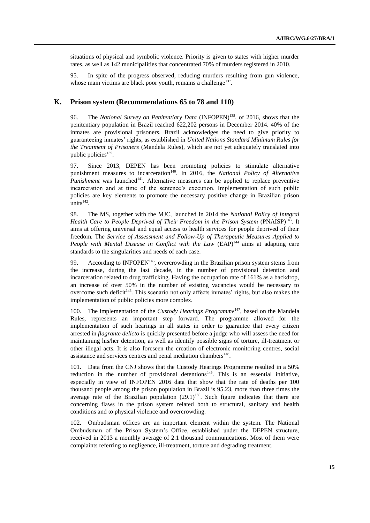situations of physical and symbolic violence. Priority is given to states with higher murder rates, as well as 142 municipalities that concentrated 70% of murders registered in 2010.

95. In spite of the progress observed, reducing murders resulting from gun violence, whose main victims are black poor youth, remains a challenge<sup>137</sup>.

#### **K. Prison system (Recommendations 65 to 78 and 110)**

96. The *National Survey on Penitentiary Data* (INFOPEN)<sup>138</sup>, of 2016, shows that the penitentiary population in Brazil reached 622,202 persons in December 2014. 40% of the inmates are provisional prisoners. Brazil acknowledges the need to give priority to guaranteeing inmates' rights, as established in *United Nations Standard Minimum Rules for the Treatment of Prisoners* (Mandela Rules), which are not yet adequately translated into public policies<sup>139</sup>.

97. Since 2013, DEPEN has been promoting policies to stimulate alternative punishment measures to incarceration<sup>140</sup>. In 2016, the *National Policy of Alternative Punishment* was launched<sup>141</sup>. Alternative measures can be applied to replace preventive incarceration and at time of the sentence's execution. Implementation of such public policies are key elements to promote the necessary positive change in Brazilian prison  $units^{142}$ .

98. The MS, together with the MJC, launched in 2014 the *National Policy of Integral Health Care to People Deprived of Their Freedom in the Prison System* (PNAISP)<sup>143</sup>. It aims at offering universal and equal access to health services for people deprived of their freedom. The *Service of Assessment and Follow-Up of Therapeutic Measures Applied to People with Mental Disease in Conflict with the Law* (EAP)<sup>144</sup> aims at adapting care standards to the singularities and needs of each case.

99. According to INFOPEN<sup>145</sup>, overcrowding in the Brazilian prison system stems from the increase, during the last decade, in the number of provisional detention and incarceration related to drug trafficking. Having the occupation rate of 161% as a backdrop, an increase of over 50% in the number of existing vacancies would be necessary to overcome such deficit<sup>146</sup>. This scenario not only affects inmates' rights, but also makes the implementation of public policies more complex.

100. The implementation of the *Custody Hearings Programme*<sup>147</sup>, based on the Mandela Rules, represents an important step forward. The programme allowed for the implementation of such hearings in all states in order to guarantee that every citizen arrested in *flagrante delicto* is quickly presented before a judge who will assess the need for maintaining his/her detention, as well as identify possible signs of torture, ill-treatment or other illegal acts. It is also foreseen the creation of electronic monitoring centres, social assistance and services centres and penal mediation chambers<sup>148</sup>.

101. Data from the CNJ shows that the Custody Hearings Programme resulted in a 50% reduction in the number of provisional detentions<sup>149</sup>. This is an essential initiative, especially in view of INFOPEN 2016 data that show that the rate of deaths per 100 thousand people among the prison population in Brazil is 95.23, more than three times the average rate of the Brazilian population  $(29.1)^{150}$ . Such figure indicates that there are concerning flaws in the prison system related both to structural, sanitary and health conditions and to physical violence and overcrowding.

102. Ombudsman offices are an important element within the system. The National Ombudsman of the Prison System's Office, established under the DEPEN structure, received in 2013 a monthly average of 2.1 thousand communications. Most of them were complaints referring to negligence, ill-treatment, torture and degrading treatment.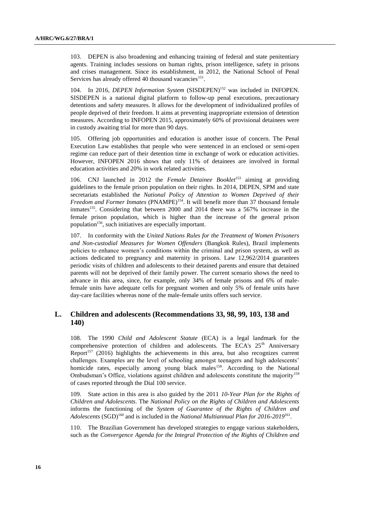103. DEPEN is also broadening and enhancing training of federal and state penitentiary agents. Training includes sessions on human rights, prison intelligence, safety in prisons and crises management. Since its establishment, in 2012, the National School of Penal Services has already offered 40 thousand vacancies<sup>151</sup>.

104. In 2016, *DEPEN Information System* (SISDEPEN)<sup>152</sup> was included in INFOPEN. SISDEPEN is a national digital platform to follow-up penal executions, precautionary detentions and safety measures. It allows for the development of individualized profiles of people deprived of their freedom. It aims at preventing inappropriate extension of detention measures. According to INFOPEN 2015, approximately 60% of provisional detainees were in custody awaiting trial for more than 90 days.

105. Offering job opportunities and education is another issue of concern. The Penal Execution Law establishes that people who were sentenced in an enclosed or semi-open regime can reduce part of their detention time in exchange of work or education activities. However, INFOPEN 2016 shows that only 11% of detainees are involved in formal education activities and 20% in work related activities.

106. CNJ launched in 2012 the *Female Detainee Booklet*<sup>153</sup> aiming at providing guidelines to the female prison population on their rights. In 2014, DEPEN, SPM and state secretariats established the *National Policy of Attention to Women Deprived of their Freedom and Former Inmates* (PNAMPE)<sup>154</sup>. It will benefit more than 37 thousand female inmates<sup>155</sup>. Considering that between 2000 and 2014 there was a 567% increase in the female prison population, which is higher than the increase of the general prison population<sup>156</sup>, such initiatives are especially important.

107. In conformity with the *United Nations Rules for the Treatment of Women Prisoners and Non-custodial Measures for Women Offenders* (Bangkok Rules), Brazil implements policies to enhance women's conditions within the criminal and prison system, as well as actions dedicated to pregnancy and maternity in prisons. Law 12,962/2014 guarantees periodic visits of children and adolescents to their detained parents and ensure that detained parents will not be deprived of their family power. The current scenario shows the need to advance in this area, since, for example, only 34% of female prisons and 6% of malefemale units have adequate cells for pregnant women and only 5% of female units have day-care facilities whereas none of the male-female units offers such service.

### **L. Children and adolescents (Recommendations 33, 98, 99, 103, 138 and 140)**

108. The 1990 *Child and Adolescent Statute* (ECA) is a legal landmark for the comprehensive protection of children and adolescents. The ECA's 25<sup>th</sup> Anniversary Report<sup>157</sup> (2016) highlights the achievements in this area, but also recognizes current challenges. Examples are the level of schooling amongst teenagers and high adolescents' homicide rates, especially among young black males<sup>158</sup>. According to the National Ombudsman's Office, violations against children and adolescents constitute the majority<sup>159</sup> of cases reported through the Dial 100 service.

109. State action in this area is also guided by the 2011 *10-Year Plan for the Rights of Children and Adolescents*. The *National Policy on the Rights of Children and Adolescents* informs the functioning of the *System of Guarantee of the Rights of Children and*  Adolescents (SGD)<sup>160</sup> and is included in the *National Multiannual Plan for 2016-2019*<sup>161</sup>.

110. The Brazilian Government has developed strategies to engage various stakeholders, such as the *Convergence Agenda for the Integral Protection of the Rights of Children and*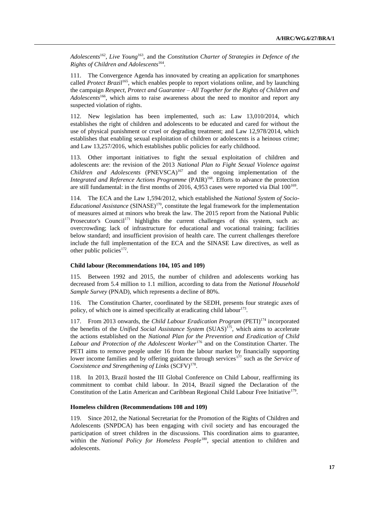Adolescents<sup>162</sup>, Live Young<sup>163</sup>, and the *Constitution Charter of Strategies in Defence of the Rights of Children and Adolescents*<sup>164</sup> .

111. The Convergence Agenda has innovated by creating an application for smartphones called *Protect Brazil*<sup>165</sup>, which enables people to report violations online, and by launching the campaign *Respect, Protect and Guarantee – All Together for the Rights of Children and Adolescents*<sup>166</sup>, which aims to raise awareness about the need to monitor and report any suspected violation of rights.

112. New legislation has been implemented, such as: Law 13,010/2014, which establishes the right of children and adolescents to be educated and cared for without the use of physical punishment or cruel or degrading treatment; and Law 12,978/2014, which establishes that enabling sexual exploitation of children or adolescents is a heinous crime; and Law 13,257/2016, which establishes public policies for early childhood.

113. Other important initiatives to fight the sexual exploitation of children and adolescents are: the revision of the 2013 *National Plan to Fight Sexual Violence against Children and Adolescents* (PNEVSCA)<sup>167</sup> and the ongoing implementation of the *Integrated and Reference Actions Programme* (PAIR)<sup>168</sup>. Efforts to advance the protection are still fundamental: in the first months of 2016, 4,953 cases were reported via Dial  $100^{169}$ .

114. The ECA and the Law 1,594/2012, which established the *National System of Socio-Educational Assistance* (SINASE)<sup>170</sup>, constitute the legal framework for the implementation of measures aimed at minors who break the law. The 2015 report from the National Public Prosecutor's Council<sup>171</sup> highlights the current challenges of this system, such as: overcrowding; lack of infrastructure for educational and vocational training; facilities below standard; and insufficient provision of health care. The current challenges therefore include the full implementation of the ECA and the SINASE Law directives, as well as other public policies<sup>172</sup>.

#### **Child labour (Recommendations 104, 105 and 109)**

115. Between 1992 and 2015, the number of children and adolescents working has decreased from 5.4 million to 1.1 million, according to data from the *National Household Sample Survey* (PNAD), which represents a decline of 80%.

116. The Constitution Charter, coordinated by the SEDH, presents four strategic axes of policy, of which one is aimed specifically at eradicating child labour<sup>173</sup>.

117. From 2013 onwards, the *Child Labour Eradication Program* (PETI)<sup>174</sup> incorporated the benefits of the *Unified Social Assistance System* (SUAS)<sup>175</sup>, which aims to accelerate the actions established on the *National Plan for the Prevention and Eradication of Child Labour and Protection of the Adolescent Worker*<sup>176</sup> and on the Constitution Charter. The PETI aims to remove people under 16 from the labour market by financially supporting lower income families and by offering guidance through services<sup>177</sup> such as the *Service of* Coexistence and Strengthening of Links (SCFV)<sup>178</sup>.

118. In 2013, Brazil hosted the III Global Conference on Child Labour, reaffirming its commitment to combat child labour. In 2014, Brazil signed the Declaration of the Constitution of the Latin American and Caribbean Regional Child Labour Free Initiative<sup>179</sup>.

#### **Homeless children (Recommendations 108 and 109)**

119. Since 2012, the National Secretariat for the Promotion of the Rights of Children and Adolescents (SNPDCA) has been engaging with civil society and has encouraged the participation of street children in the discussions. This coordination aims to guarantee, within the *National Policy for Homeless People*<sup>180</sup>, special attention to children and adolescents.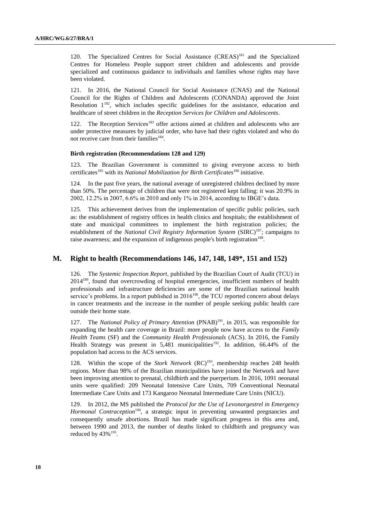120. The Specialized Centres for Social Assistance (CREAS)<sup>181</sup> and the Specialized Centres for Homeless People support street children and adolescents and provide specialized and continuous guidance to individuals and families whose rights may have been violated.

121. In 2016, the National Council for Social Assistance (CNAS) and the National Council for the Rights of Children and Adolescents (CONANDA) approved the Joint Resolution  $1^{182}$ , which includes specific guidelines for the assistance, education and healthcare of street children in the *Reception Services for Children and Adolescents*.

122. The Reception Services<sup>183</sup> offer actions aimed at children and adolescents who are under protective measures by judicial order, who have had their rights violated and who do not receive care from their families<sup>184</sup>.

#### **Birth registration (Recommendations 128 and 129)**

123. The Brazilian Government is committed to giving everyone access to birth certificates<sup>185</sup> with its *National Mobilization for Birth Certificates*<sup>186</sup> initiative.

124. In the past five years, the national average of unregistered children declined by more than 50%. The percentage of children that were not registered kept falling: it was 20.9% in 2002, 12.2% in 2007, 6.6% in 2010 and only 1% in 2014, according to IBGE's data.

125. This achievement derives from the implementation of specific public policies, such as: the establishment of registry offices in health clinics and hospitals; the establishment of state and municipal committees to implement the birth registration policies; the establishment of the *National Civil Registry Information System* (SIRC)<sup>187</sup>; campaigns to raise awareness; and the expansion of indigenous people's birth registration<sup>188</sup>.

## **M. Right to health (Recommendations 146, 147, 148, 149\*, 151 and 152)**

126. The *Systemic Inspection Report*, published by the Brazilian Court of Audit (TCU) in 2014<sup>189</sup>, found that overcrowding of hospital emergencies, insufficient numbers of health professionals and infrastructure deficiencies are some of the Brazilian national health service's problems. In a report published in  $2016^{190}$ , the TCU reported concern about delays in cancer treatments and the increase in the number of people seeking public health care outside their home state.

127. The *National Policy of Primary Attention* (PNAB)<sup>191</sup>, in 2015, was responsible for expanding the health care coverage in Brazil: more people now have access to the *Family Health Teams* (SF) and the *Community Health Professionals* (ACS). In 2016, the Family Health Strategy was present in 5,481 municipalities<sup>192</sup>. In addition, 66.44% of the population had access to the ACS services.

128. Within the scope of the *Stork Network* (RC)<sup>193</sup>, membership reaches 248 health regions. More than 98% of the Brazilian municipalities have joined the Network and have been improving attention to prenatal, childbirth and the puerperium. In 2016, 1091 neonatal units were qualified: 209 Neonatal Intensive Care Units, 709 Conventional Neonatal Intermediate Care Units and 173 Kangaroo Neonatal Intermediate Care Units (NICU).

129. In 2012, the MS published the *Protocol for the Use of Levonorgestrel in Emergency Hormonal Contraception*<sup>194</sup>, a strategic input in preventing unwanted pregnancies and consequently unsafe abortions. Brazil has made significant progress in this area and, between 1990 and 2013, the number of deaths linked to childbirth and pregnancy was reduced by  $43\%$ <sup>195</sup>.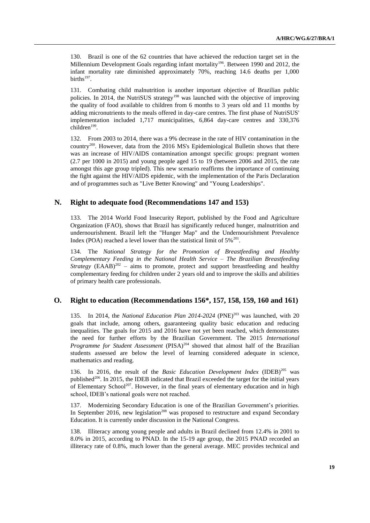130. Brazil is one of the 62 countries that have achieved the reduction target set in the Millennium Development Goals regarding infant mortality<sup>196</sup>. Between 1990 and 2012, the infant mortality rate diminished approximately 70%, reaching 14.6 deaths per 1,000 births $197$ .

131. Combating child malnutrition is another important objective of Brazilian public policies. In 2014, the NutriSUS strategy<sup>198</sup> was launched with the objective of improving the quality of food available to children from 6 months to 3 years old and 11 months by adding micronutrients to the meals offered in day-care centres. The first phase of NutriSUS' implementation included 1,717 municipalities, 6,864 day-care centres and 330,376 children<sup>199</sup>.

132. From 2003 to 2014, there was a 9% decrease in the rate of HIV contamination in the country<sup>200</sup>. However, data from the 2016 MS's Epidemiological Bulletin shows that there was an increase of HIV/AIDS contamination amongst specific groups: pregnant women (2.7 per 1000 in 2015) and young people aged 15 to 19 (between 2006 and 2015, the rate amongst this age group tripled). This new scenario reaffirms the importance of continuing the fight against the HIV/AIDS epidemic, with the implementation of the Paris Declaration and of programmes such as "Live Better Knowing" and "Young Leaderships".

## **N. Right to adequate food (Recommendations 147 and 153)**

133. The 2014 World Food Insecurity Report, published by the Food and Agriculture Organization (FAO), shows that Brazil has significantly reduced hunger, malnutrition and undernourishment. Brazil left the "Hunger Map" and the Undernourishment Prevalence Index (POA) reached a level lower than the statistical limit of  $5\%^{201}$ .

134. The *National Strategy for the Promotion of Breastfeeding and Healthy Complementary Feeding in the National Health Service* – *The Brazilian Breastfeeding Strategy*  $(EAAB)^{202}$  – aims to promote, protect and support breastfeeding and healthy complementary feeding for children under 2 years old and to improve the skills and abilities of primary health care professionals.

### **O. Right to education (Recommendations 156\*, 157, 158, 159, 160 and 161)**

135. In 2014, the *National Education Plan 2014-2024* (PNE)<sup>203</sup> was launched, with 20 goals that include, among others, guaranteeing quality basic education and reducing inequalities. The goals for 2015 and 2016 have not yet been reached, which demonstrates the need for further efforts by the Brazilian Government. The 2015 *International Programme for Student Assessment* (PISA)<sup>204</sup> showed that almost half of the Brazilian students assessed are below the level of learning considered adequate in science, mathematics and reading.

136. In 2016, the result of the *Basic Education Development Index* (IDEB)<sup>205</sup> was published<sup>206</sup>. In 2015, the IDEB indicated that Brazil exceeded the target for the initial years of Elementary School<sup>207</sup>. However, in the final years of elementary education and in high school, IDEB's national goals were not reached.

137. Modernizing Secondary Education is one of the Brazilian Government's priorities. In September 2016, new legislation<sup>208</sup> was proposed to restructure and expand Secondary Education. It is currently under discussion in the National Congress.

138. Illiteracy among young people and adults in Brazil declined from 12.4% in 2001 to 8.0% in 2015, according to PNAD. In the 15-19 age group, the 2015 PNAD recorded an illiteracy rate of 0.8%, much lower than the general average. MEC provides technical and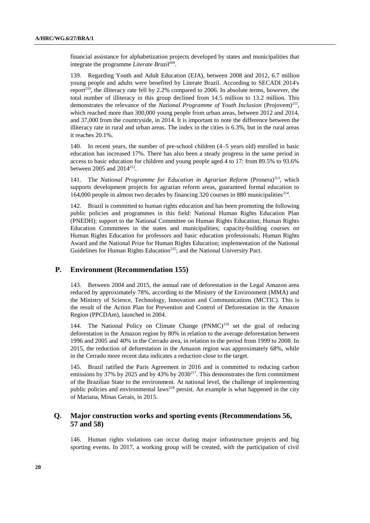financial assistance for alphabetization projects developed by states and municipalities that integrate the programme *Literate Brazil*<sup>209</sup> .

139. Regarding Youth and Adult Education (EJA), between 2008 and 2012, 6.7 million young people and adults were benefited by Literate Brazil. According to SECADI 2014's report<sup>210</sup>, the illiteracy rate fell by 2.2% compared to 2006. In absolute terms, however, the total number of illiteracy in this group declined from 14.5 million to 13.2 million. This demonstrates the relevance of the *National Programme of Youth Inclusion* (Projovem)<sup>211</sup>, which reached more than 300,000 young people from urban areas, between 2012 and 2014, and 37,000 from the countryside, in 2014. It is important to note the difference between the illiteracy rate in rural and urban areas. The index in the cities is 6.3%, but in the rural areas it reaches 20.1%.

140. In recent years, the number of pre-school children (4–5 years old) enrolled in basic education has increased 17%. There has also been a steady progress in the same period in access to basic education for children and young people aged 4 to 17: from 89.5% to 93.6% between 2005 and  $2014^{212}$ .

141. The *National Programme for Education in Agrarian Reform* (Pronera)<sup>213</sup>, which supports development projects for agrarian reform areas, guaranteed formal education to 164,000 people in almost two decades by financing 320 courses in 880 municipalities<sup>214</sup>.

142. Brazil is committed to human rights education and has been promoting the following public policies and programmes in this field: National Human Rights Education Plan (PNEDH); support to the National Committee on Human Rights Education; Human Rights Education Committees in the states and municipalities; capacity-building courses on Human Rights Education for professors and basic education professionals; Human Rights Award and the National Prize for Human Rights Education; implementation of the National Guidelines for Human Rights Education<sup>215</sup>; and the National University Pact.

#### **P. Environment (Recommendation 155)**

143. Between 2004 and 2015, the annual rate of deforestation in the Legal Amazon area reduced by approximately 78%, according to the Ministry of the Environment (MMA) and the Ministry of Science, Technology, Innovation and Communications (MCTIC). This is the result of the Action Plan for Prevention and Control of Deforestation in the Amazon Region (PPCDAm), launched in 2004.

144. The National Policy on Climate Change  $(PNMC)^{216}$  set the goal of reducing deforestation in the Amazon region by 80% in relation to the average deforestation between 1996 and 2005 and 40% in the Cerrado area, in relation to the period from 1999 to 2008. In 2015, the reduction of deforestation in the Amazon region was approximately 68%, while in the Cerrado more recent data indicates a reduction close to the target.

145. Brazil ratified the Paris Agreement in 2016 and is committed to reducing carbon emissions by 37% by 2025 and by 43% by  $2030^{217}$ . This demonstrates the firm commitment of the Brazilian State to the environment. At national level, the challenge of implementing public policies and environmental laws<sup>218</sup> persist. An example is what happened in the city of Mariana, Minas Gerais, in 2015.

### **Q. Major construction works and sporting events (Recommendations 56, 57 and 58)**

146. Human rights violations can occur during major infrastructure projects and big sporting events. In 2017, a working group will be created, with the participation of civil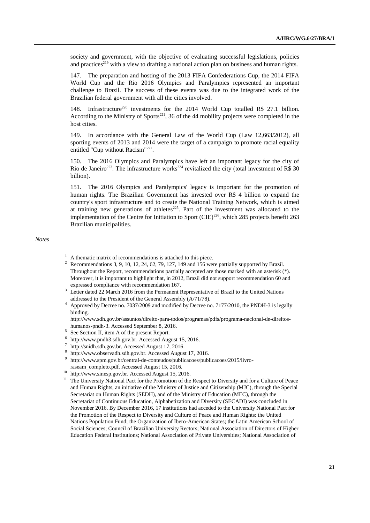society and government, with the objective of evaluating successful legislations, policies and practices<sup>219</sup> with a view to drafting a national action plan on business and human rights.

147. The preparation and hosting of the 2013 FIFA Confederations Cup, the 2014 FIFA World Cup and the Rio 2016 Olympics and Paralympics represented an important challenge to Brazil. The success of these events was due to the integrated work of the Brazilian federal government with all the cities involved.

148. Infrastructure<sup>220</sup> investments for the 2014 World Cup totalled R\$ 27.1 billion. According to the Ministry of Sports<sup>221</sup>, 36 of the 44 mobility projects were completed in the host cities.

149. In accordance with the General Law of the World Cup (Law 12,663/2012), all sporting events of 2013 and 2014 were the target of a campaign to promote racial equality entitled "Cup without Racism"<sup>222</sup>.

150. The 2016 Olympics and Paralympics have left an important legacy for the city of Rio de Janeiro<sup>223</sup>. The infrastructure works<sup>224</sup> revitalized the city (total investment of R\$ 30 billion).

151. The 2016 Olympics and Paralympics' legacy is important for the promotion of human rights. The Brazilian Government has invested over R\$ 4 billion to expand the country's sport infrastructure and to create the National Training Network, which is aimed at training new generations of athletes<sup>225</sup>. Part of the investment was allocated to the implementation of the Centre for Initiation to Sport  $(CIE)^{226}$ , which 285 projects benefit 263 Brazilian municipalities.

#### *Notes*

- $1 \text{ A}$  thematic matrix of recommendations is attached to this piece.
- <sup>2</sup> Recommendations 3, 9, 10, 12, 24, 62, 79, 127, 149 and 156 were partially supported by Brazil. Throughout the Report, recommendations partially accepted are those marked with an asterisk (\*). Moreover, it is important to highlight that, in 2012, Brazil did not support recommendation 60 and expressed compliance with recommendation 167.
- <sup>3</sup> Letter dated 22 March 2016 from the Permanent Representative of Brazil to the United Nations addressed to the President of the General Assembly (A/71/78).
- <sup>4</sup> Approved by Decree no. 7037/2009 and modified by Decree no. 7177/2010, the PNDH-3 is legally binding.

http://www.sdh.gov.br/assuntos/direito-para-todos/programas/pdfs/programa-nacional-de-direitoshumanos-pndh-3. Accessed September 8, 2016.

- 5 See Section II, item A of the present Report.
- 6 http://www.pndh3.sdh.gov.br. Accessed August 15, 2016.
- 7 http://snidh.sdh.gov.br. Accessed August 17, 2016.
- 8 http://www.observadh.sdh.gov.br. Accessed August 17, 2016.
- 9 http://www.spm.gov.br/central-de-conteudos/publicacoes/publicacoes/2015/livroraseam\_completo.pdf. Accessed August 15, 2016.
- <sup>10</sup> http://www.sinesp.gov.br. Accessed August 15, 2016.
- <sup>11</sup> The University National Pact for the Promotion of the Respect to Diversity and for a Culture of Peace and Human Rights, an initiative of the Ministry of Justice and Citizenship (MJC), through the Special Secretariat on Human Rights (SEDH), and of the Ministry of Education (MEC), through the Secretariat of Continuous Education, Alphabetization and Diversity (SECADI) was concluded in November 2016. By December 2016, 17 institutions had acceded to the University National Pact for the Promotion of the Respect to Diversity and Culture of Peace and Human Rights: the United Nations Population Fund; the Organization of Ibero-American States; the Latin American School of Social Sciences; Council of Brazilian University Rectors; National Association of Directors of Higher Education Federal Institutions; National Association of Private Universities; National Association of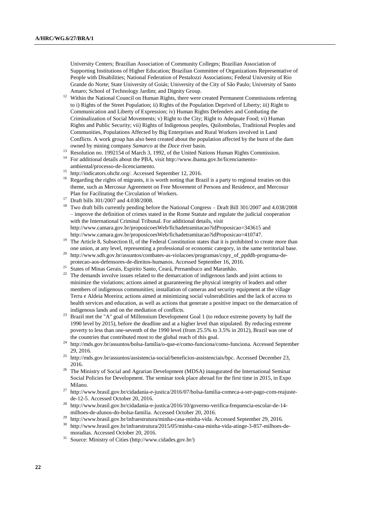University Centers; Brazilian Association of Community Colleges; Brazilian Association of Supporting Institutions of Higher Education; Brazilian Committee of Organizations Representative of People with Disabilities; National Federation of Pestalozzi Associations; Federal University of Rio Grande do Norte; State University of Goiás; University of the City of São Paulo; University of Santo Amaro; School of Technology Jardim; and Dignity Group.

- <sup>12</sup> Within the National Council on Human Rights, there were created Permanent Commissions referring to i) Rights of the Street Population; ii) Rights of the Population Deprived of Liberty; iii) Right to Communication and Liberty of Expression; iv) Human Rights Defenders and Combating the Criminalization of Social Movements; v) Right to the City; Right to Adequate Food; vi) Human Rights and Public Security; vii) Rights of Indigenous peoples, Quilombolas, Traditional Peoples and Communities, Populations Affected by Big Enterprises and Rural Workers involved in Land Conflicts. A work group has also been created about the population affected by the burst of the dam owned by mining company *Samarco* at the *Doce* river basin.
- <sup>13</sup> Resolution no. 1992154 of March 3, 1992, of the United Nations Human Rights Commission.
- <sup>14</sup> For additional details about the PBA, visit http://www.ibama.gov.br/licenciamento-
- ambiental/processo-de-licenciamento.
- <sup>15</sup> http://indicators.ohchr.org/. Accessed September 12, 2016.
- <sup>16</sup> Regarding the rights of migrants, it is worth noting that Brazil is a party to regional treaties on this theme, such as Mercosur Agreement on Free Movement of Persons and Residence, and Mercosur Plan for Facilitating the Circulation of Workers.
- <sup>17</sup> Draft bills 301/2007 and 4.038/2008.
- <sup>18</sup> Two draft bills currently pending before the National Congress Draft Bill 301/2007 and 4.038/2008 – improve the definition of crimes stated in the Rome Statute and regulate the judicial cooperation with the International Criminal Tribunal. For additional details, visit http://www.camara.gov.br/proposicoesWeb/fichadetramitacao?idProposicao=343615 and http://www.camara.gov.br/proposicoesWeb/fichadetramitacao?idProposicao=410747.
- <sup>19</sup> The Article 8, Subsection II, of the Federal Constitution states that it is prohibited to create more than one union, at any level, representing a professional or economic category, in the same territorial base.
- <sup>20</sup> http://www.sdh.gov.br/assuntos/combates-as-violacoes/programas/copy\_of\_ppddh-programa-deprotecao-aos-defensores-de-direitos-humanos. Accessed September 16, 2016.
- <sup>21</sup> States of Minas Gerais, Espirito Santo, Ceará, Pernambuco and Maranhão.
- <sup>22</sup> The demands involve issues related to the demarcation of indigenous lands and joint actions to minimize the violations; actions aimed at guaranteeing the physical integrity of leaders and other members of indigenous communities; installation of cameras and security equipment at the village Terra e Aldeia Moreira; actions aimed at minimizing social vulnerabilities and the lack of access to health services and education, as well as actions that generate a positive impact on the demarcation of indigenous lands and on the mediation of conflicts.
- <sup>23</sup> Brazil met the "A" goal of Millennium Development Goal 1 (to reduce extreme poverty by half the 1990 level by 2015), before the deadline and at a higher level than stipulated. By reducing extreme poverty to less than one-seventh of the 1990 level (from 25.5% to 3.5% in 2012), Brazil was one of the countries that contributed most to the global reach of this goal.
- <sup>24</sup> http://mds.gov.br/assuntos/bolsa-familia/o-que-e/como-funciona/como-funciona. Accessed September 29, 2016.
- <sup>25</sup> http://mds.gov.br/assuntos/assistencia-social/beneficios-assistenciais/bpc. Accessed December 23, 2016.
- <sup>26</sup> The Ministry of Social and Agrarian Development (MDSA) inaugurated the International Seminar Social Policies for Development. The seminar took place abroad for the first time in 2015, in Expo Milano.
- <sup>27</sup> http://www.brasil.gov.br/cidadania-e-justica/2016/07/bolsa-familia-comeca-a-ser-pago-com-reajustede-12-5. Accessed October 20, 2016.
- <sup>28</sup> http://www.brasil.gov.br/cidadania-e-justica/2016/10/governo-verifica-frequencia-escolar-de-14 milhoes-de-alunos-do-bolsa-familia. Accessed October 20, 2016.
- <sup>29</sup> http://www.brasil.gov.br/infraestrutura/minha-casa-minha-vida. Accessed September 29, 2016.<br><sup>30</sup> http://www.brasil.gov.br/infraestrutura/2015/05/minha-gasa-minha-vida stinga.  $2.957$  milhoes
- <sup>30</sup> http://www.brasil.gov.br/infraestrutura/2015/05/minha-casa-minha-vida-atinge-3-857-milhoes-demoradias. Accessed October 20, 2016.
- <sup>31</sup> Source: Ministry of Cities (http://www.cidades.gov.br/)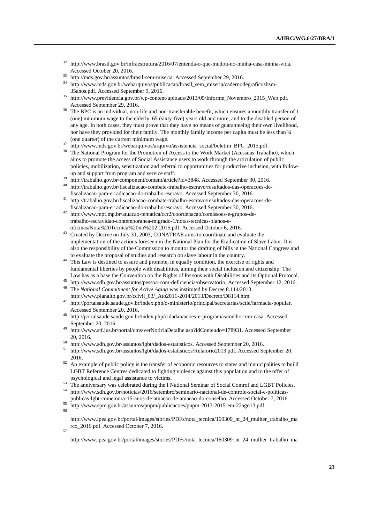- <sup>32</sup> http://www.brasil.gov.br/infraestrutura/2016/07/entenda-o-que-mudou-no-minha-casa-minha-vida. Accessed October 20, 2016.
- $33$  http://mds.gov.br/assuntos/brasil-sem-miseria. Accessed September 29, 2016.
- <sup>34</sup> http://www.mds.gov.br/webarquivos/publicacao/brasil\_sem\_miseria/cadernodegraficosbsm-35anos.pdf. Accessed September 9, 2016.
- <sup>35</sup> http://www.previdencia.gov.br/wp-content/uploads/2013/05/Informe\_Novembro\_2015\_Web.pdf. Accessed September 29, 2016.
- The BPC is an individual, non-life and non-transferable benefit, which ensures a monthly transfer of 1 (one) minimum wage to the elderly, 65 (sixty-five) years old and more, and to the disabled person of any age. In both cases, they must prove that they have no means of guaranteeing their own livelihood, nor have they provided for their family. The monthly family income per capita must be less than 1/4 (one quarter) of the current minimum wage.
- <sup>37</sup> http://www.mds.gov.br/webarquivos/arquivo/assistencia\_social/boletim\_BPC\_2015.pdf.
- <sup>38</sup> The National Program for the Promotion of Access to the Work Market (Acessuas Trabalho), which aims to promote the access of Social Assistance users to work through the articulation of public policies, mobilization, sensitization and referral to opportunities for productive inclusion, with followup and support from program and service staff.
- $\frac{39}{10}$  http://trabalho.gov.br/component/content/article?id=3848. Accessed September 30, 2016.
- <sup>40</sup> http://trabalho.gov.br/fiscalizacao-combate-trabalho-escravo/resultados-das-operacoes-defiscalizacao-para-erradicacao-do-trabalho-escravo. Accessed September 30, 2016.
- <sup>41</sup> http://trabalho.gov.br/fiscalizacao-combate-trabalho-escravo/resultados-das-operacoes-defiscalizacao-para-erradicacao-do-trabalho-escravo. Accessed September 30, 2016.
- <sup>42</sup> http://www.mpf.mp.br/atuacao-tematica/ccr2/coordenacao/comissoes-e-grupos-detrabalho/escravidao-contemporanea-migrado-1/notas-tecnicas-planos-eoficinas/Nota%20Tecnica%20no%202-2015.pdf. Accessed October 6, 2016.
- <sup>43</sup> Created by Decree on July 31, 2003, CONATRAE aims to coordinate and evaluate the implementation of the actions foreseen in the National Plan for the Eradication of Slave Labor. It is also the responsibility of the Commission to monitor the drafting of bills in the National Congress and to evaluate the proposal of studies and research on slave labour in the country.
- This Law is destined to assure and promote, in equally condition, the exercise of rights and fundamental liberties by people with disabilities, aiming their social inclusion and citizenship. The Law has as a base the Convention on the Rights of Persons with Disabilities and its Optional Protocol.
- <sup>45</sup> http://www.sdh.gov.br/assuntos/pessoa-com-deficiencia/observatorio. Accessed September 12, 2016.
- <sup>46</sup> The *National Commitment for Active Aging* was instituted by Decree 8.114/2013. http://www.planalto.gov.br/ccivil\_03/\_Ato2011-2014/2013/Decreto/D8114.htm.
- <sup>47</sup> http://portalsaude.saude.gov.br/index.php/o-ministerio/principal/secretarias/sctie/farmacia-popular. Accessed September 20, 2016.
- <sup>48</sup> http://portalsaude.saude.gov.br/index.php/cidadao/acoes-e-programas/melhor-em-casa. Accessed September 20, 2016.
- <sup>49</sup> http://www.stf.jus.br/portal/cms/verNoticiaDetalhe.asp?idConteudo=178931. Accessed September 20, 2016.
- $^{50}$  http://www.sdh.gov.br/assuntos/lgbt/dados-estatisticos. Accessed September 20, 2016.
- <sup>51</sup> http://www.sdh.gov.br/assuntos/lgbt/dados-estatisticos/Relatorio2013.pdf. Accessed September 20, 2016.
- $52$  An example of public policy is the transfer of economic resources to states and municipalities to build LGBT Reference Centres dedicated to fighting violence against this population and to the offer of psychological and legal assistance to victims.
- <sup>53</sup> The anniversary was celebrated during the I National Seminar of Social Control and LGBT Policies.<br><sup>54</sup> http://www.sdh.gov.br/poticies/2016/estembro/cominario.gocional de controle social e politices.
- <sup>54</sup> http://www.sdh.gov.br/noticias/2016/setembro/seminario-nacional-de-controle-social-e-politicaspublicas-lgbt-comemora-15-anos-de-atuacao-de-atuacao-do-conselho. Accessed October 7, 2016.
- <sup>55</sup> http://www.spm.gov.br/assuntos/pnpm/publicacoes/pnpm-2013-2015-em-22ago13.pdf 56

http://www.ipea.gov.br/portal/images/stories/PDFs/nota\_tecnica/160309\_nt\_24\_mulher\_trabalho\_ma rco\_2016.pdf. Accessed October 7, 2016.

57

http://www.ipea.gov.br/portal/images/stories/PDFs/nota\_tecnica/160309\_nt\_24\_mulher\_trabalho\_ma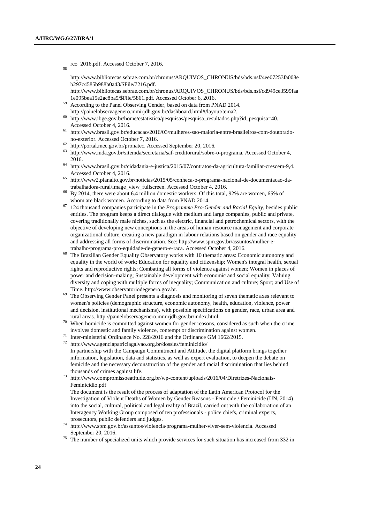58

rco\_2016.pdf. Accessed October 7, 2016.

http://www.bibliotecas.sebrae.com.br/chronus/ARQUIVOS\_CHRONUS/bds/bds.nsf/4ee07253fa008e b297c4585b988b0a43/\$File/7216.pdf.

http://www.bibliotecas.sebrae.com.br/chronus/ARQUIVOS\_CHRONUS/bds/bds.nsf/cd949ce3599faa 1e095bea15e2ac8ba5/\$File/5861.pdf. Accessed October 6, 2016.

- <sup>59</sup> According to the Panel Observing Gender, based on data from PNAD 2014. http://painelobservagenero.mmirjdh.gov.br/dashboard.html#/layout/tema2.
- <sup>60</sup> http://www.ibge.gov.br/home/estatistica/pesquisas/pesquisa\_resultados.php?id\_pesquisa=40. Accessed October 4, 2016.
- $^{61}$ http://www.brasil.gov.br/educacao/2016/03/mulheres-sao-maioria-entre-brasileiros-com-doutoradono-exterior. Accessed October 7, 2016.
- <sup>62</sup> http://portal.mec.gov.br/pronatec. Accessed September 20, 2016.
- <sup>63</sup> http://www.mda.gov.br/sitemda/secretaria/saf-creditorural/sobre-o-programa. Accessed October 4, 2016.
- <sup>64</sup> http://www.brasil.gov.br/cidadania-e-justica/2015/07/contratos-da-agricultura-familiar-crescem-9,4. Accessed October 4, 2016.
- <sup>65</sup> http://www2.planalto.gov.br/noticias/2015/05/conheca-o-programa-nacional-de-documentacao-datrabalhadora-rural/image\_view\_fullscreen. Accessed October 4, 2016.
- <sup>66</sup> By 2014, there were about 6.4 million domestic workers. Of this total, 92% are women, 65% of whom are black women. According to data from PNAD 2014.
- <sup>67</sup> 124 thousand companies participate in the *Programme Pro-Gender and Racial Equity*, besides public entities. The program keeps a direct dialogue with medium and large companies, public and private, covering traditionally male niches, such as the electric, financial and petrochemical sectors, with the objective of developing new conceptions in the areas of human resource management and corporate organizational culture, creating a new paradigm in labour relations based on gender and race equality and addressing all forms of discrimination. See: http://www.spm.gov.br/assuntos/mulher-etrabalho/programa-pro-equidade-de-genero-e-raca. Accessed October 4, 2016.
- <sup>68</sup> The Brazilian Gender Equality Observatory works with 10 thematic areas: Economic autonomy and equality in the world of work; Education for equality and citizenship; Women's integral health, sexual rights and reproductive rights; Combating all forms of violence against women; Women in places of power and decision-making; Sustainable development with economic and social equality; Valuing diversity and coping with multiple forms of inequality; Communication and culture; Sport; and Use of Time. http://www.observatoriodegenero.gov.br.
- <sup>69</sup> The Observing Gender Panel presents a diagnosis and monitoring of seven thematic axes relevant to women's policies (demographic structure, economic autonomy, health, education, violence, power and decision, institutional mechanisms), with possible specifications on gender, race, urban area and rural areas. http://painelobservagenero.mmirjdh.gov.br/index.html.
- <sup>70</sup> When homicide is committed against women for gender reasons, considered as such when the crime involves domestic and family violence, contempt or discrimination against women.
- <sup>71</sup> Inter-ministerial Ordinance No. 228/2016 and the Ordinance GM 1662/2015.
- <sup>72</sup> http://www.agenciapatriciagalvao.org.br/dossies/feminicidio/ In partnership with the Campaign Commitment and Attitude, the digital platform brings together information, legislation, data and statistics, as well as expert evaluation, to deepen the debate on
	- femicide and the necessary deconstruction of the gender and racial discrimination that lies behind thousands of crimes against life.
- <sup>73</sup> http://www.compromissoeatitude.org.br/wp-content/uploads/2016/04/Diretrizes-Nacionais-Feminicidio.pdf

The document is the result of the process of adaptation of the Latin American Protocol for the Investigation of Violent Deaths of Women by Gender Reasons - Femicide / Feminicide (UN, 2014) into the social, cultural, political and legal reality of Brazil, carried out with the collaboration of an Interagency Working Group composed of ten professionals - police chiefs, criminal experts, prosecutors, public defenders and judges.

- <sup>74</sup> http://www.spm.gov.br/assuntos/violencia/programa-mulher-viver-sem-violencia. Accessed September 20, 2016.
- <sup>75</sup> The number of specialized units which provide services for such situation has increased from 332 in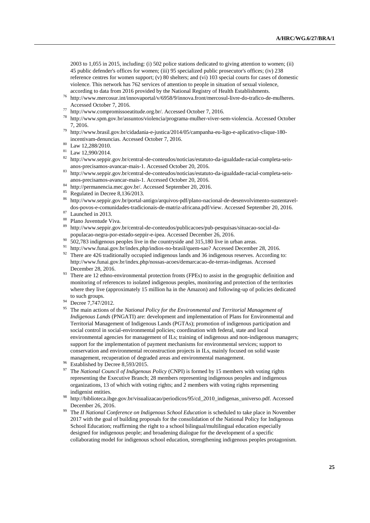2003 to 1,055 in 2015, including: (i) 502 police stations dedicated to giving attention to women; (ii) 45 public defender's offices for women; (iii) 95 specialized public prosecutor's offices; (iv) 238 reference centres for women support; (v) 80 shelters; and (vi) 103 special courts for cases of domestic violence. This network has 762 services of attention to people in situation of sexual violence, according to data from 2016 provided by the National Registry of Health Establishments.

- <sup>76</sup> http://www.mercosur.int/innovaportal/v/6958/9/innova.front/mercosul-livre-do-trafico-de-mulheres. Accessed October 7, 2016.
- <sup>77</sup> http://www.compromissoeatitude.org.br/. Accessed October 7, 2016.
- <sup>78</sup> http://www.spm.gov.br/assuntos/violencia/programa-mulher-viver-sem-violencia. Accessed October 7, 2016.
- <sup>79</sup> http://www.brasil.gov.br/cidadania-e-justica/2014/05/campanha-eu-ligo-e-aplicativo-clique-180 incentivam-denuncias. Accessed October 7, 2016.
- <sup>80</sup> Law 12,288/2010.
- <sup>81</sup> Law 12,990/2014.
- <sup>82</sup> http://www.seppir.gov.br/central-de-conteudos/noticias/estatuto-da-igualdade-racial-completa-seisanos-precisamos-avancar-mais-1. Accessed October 20, 2016.
- <sup>83</sup> http://www.seppir.gov.br/central-de-conteudos/noticias/estatuto-da-igualdade-racial-completa-seisanos-precisamos-avancar-mais-1. Accessed October 20, 2016.
- <sup>84</sup> http://permanencia.mec.gov.br/. Accessed September 20, 2016.
- Regulated in Decree 8,136/2013.
- <sup>86</sup> http://www.seppir.gov.br/portal-antigo/arquivos-pdf/plano-nacional-de-desenvolvimento-sustentaveldos-povos-e-comunidades-tradicionais-de-matriz-africana.pdf/view. Accessed September 20, 2016.
- $\frac{87}{88}$  Launched in 2013.
- Plano Juventude Viva.
- <sup>89</sup> http://www.seppir.gov.br/central-de-conteudos/publicacoes/pub-pesquisas/situacao-social-dapopulacao-negra-por-estado-seppir-e-ipea. Accessed December 26, 2016.
- $\frac{90}{2}$  502,783 indigenous peoples live in the countryside and 315,180 live in urban areas.
- http://www.funai.gov.br/index.php/indios-no-brasil/quem-sao? Accessed December 28, 2016.
- <sup>92</sup> There are 426 traditionally occupied indigenous lands and 36 indigenous reserves. According to: http://www.funai.gov.br/index.php/nossas-acoes/demarcacao-de-terras-indigenas. Accessed December 28, 2016.
- <sup>93</sup> There are 12 ethno-environmental protection fronts (FPEs) to assist in the geographic definition and monitoring of references to isolated indigenous peoples, monitoring and protection of the territories where they live (approximately 15 million ha in the Amazon) and following-up of policies dedicated to such groups.
- <sup>94</sup> Decree 7,747/2012.
- <sup>95</sup> The main actions of the *National Policy for the Environmental and Territorial Management of Indigenous Lands* (PNGATI) are: development and implementation of Plans for Environmental and Territorial Management of Indigenous Lands (PGTAs); promotion of indigenous participation and social control in social-environmental policies; coordination with federal, state and local environmental agencies for management of ILs; training of indigenous and non-indigenous managers; support for the implementation of payment mechanisms for environmental services; support to conservation and environmental reconstruction projects in ILs, mainly focused on solid waste management, recuperation of degraded areas and environmental management.
- Established by Decree 8,593/2015.
- <sup>97</sup> The *National Council of Indigenous Policy* (CNPI) is formed by 15 members with voting rights representing the Executive Branch; 28 members representing indigenous peoples and indigenous organizations, 13 of which with voting rights; and 2 members with voting rights representing indigenist entities.
- <sup>98</sup> http://biblioteca.ibge.gov.br/visualizacao/periodicos/95/cd\_2010\_indigenas\_universo.pdf. Accessed December 26, 2016.
- <sup>99</sup> The *II National Conference on Indigenous School Education* is scheduled to take place in November 2017 with the goal of building proposals for the consolidation of the National Policy for Indigenous School Education; reaffirming the right to a school bilingual/multilingual education especially designed for indigenous people; and broadening dialogue for the development of a specific collaborating model for indigenous school education, strengthening indigenous peoples protagonism.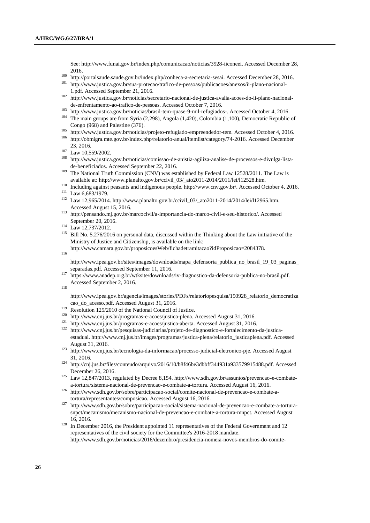See: http://www.funai.gov.br/index.php/comunicacao/noticias/3928-iiconeei. Accessed December 28, 2016.

- 100 http://portalsaude.gov.br/index.php/conheca-a-secretaria-sesai. Accessed December 28, 2016.
- <sup>101</sup> http://www.justica.gov.br/sua-protecao/trafico-de-pessoas/publicacoes/anexos/ii-plano-nacional-1.pdf. Accessed September 21, 2016.
- <sup>102</sup> http://www.justica.gov.br/noticias/secretario-nacional-de-justica-avalia-acoes-do-ii-plano-nacionalde-enfrentamento-ao-trafico-de-pessoas. Accessed October 7, 2016.
- <sup>103</sup> http://www.justica.gov.br/noticias/brasil-tem-quase-9-mil-refugiados-. Accessed October 4, 2016.
- <sup>104</sup> The main groups are from Syria (2,298), Angola (1,420), Colombia (1,100), Democratic Republic of Congo (968) and Palestine (376).
- <sup>105</sup> http://www.justica.gov.br/noticias/projeto-refugiado-empreendedor-tem. Accessed October 4, 2016.
- <sup>106</sup> http://obmigra.mte.gov.br/index.php/relatorio-anual/itemlist/category/74-2016. Accessed December 23, 2016.
- <sup>107</sup> Law 10,559/2002.
- <sup>108</sup> http://www.justica.gov.br/noticias/comissao-de-anistia-agiliza-analise-de-processos-e-divulga-listade-beneficiados. Accessed September 22, 2016.
- <sup>109</sup> The National Truth Commission (CNV) was established by Federal Law 12528/2011. The Law is available at: http://www.planalto.gov.br/ccivil\_03/\_ato2011-2014/2011/lei/l12528.htm.
- <sup>110</sup> Including against peasants and indigenous people. http://www.cnv.gov.br/. Accessed October 4, 2016.

- <sup>112</sup> Law 12,965/2014. http://www.planalto.gov.br/ccivil\_03/\_ato2011-2014/2014/lei/l12965.htm. Accessed August 15, 2016.
- <sup>113</sup> http://pensando.mj.gov.br/marcocivil/a-importancia-do-marco-civil-e-seu-historico/. Accessed September 20, 2016.
- <sup>114</sup> Law 12,737/2012.
- <sup>115</sup> Bill No. 5.276/2016 on personal data, discussed within the Thinking about the Law initiative of the Ministry of Justice and Citizenship, is available on the link:

http://www.camara.gov.br/proposicoesWeb/fichadetramitacao?idProposicao=2084378.

116

http://www.ipea.gov.br/sites/images/downloads/mapa\_defensoria\_publica\_no\_brasil\_19\_03\_paginas\_ separadas.pdf. Accessed September 11, 2016.

<sup>117</sup> https://www.anadep.org.br/wtksite/downloads/iv-diagnostico-da-defensoria-publica-no-brasil.pdf. Accessed September 2, 2016.

118

http://www.ipea.gov.br/agencia/images/stories/PDFs/relatoriopesquisa/150928\_relatorio\_democratiza cao\_do\_acesso.pdf. Accessed August 31, 2016.

- <sup>119</sup> Resolution 125/2010 of the National Council of Justice.
- <sup>120</sup> http://www.cnj.jus.br/programas-e-acoes/justica-plena. Accessed August 31, 2016.
- <sup>121</sup> http://www.cnj.jus.br/programas-e-acoes/justica-aberta. Accessed August 31, 2016.
- <sup>122</sup> http://www.cnj.jus.br/pesquisas-judiciarias/projeto-de-diagnostico-e-fortalecimento-da-justicaestadual. http://www.cnj.jus.br/images/programas/justica-plena/relatorio\_justicaplena.pdf. Accessed August 31, 2016.
- <sup>123</sup> http://www.cnj.jus.br/tecnologia-da-informacao/processo-judicial-eletronico-pje. Accessed August 31, 2016.
- <sup>124</sup> http://cnj.jus.br/files/conteudo/arquivo/2016/10/b8f46be3dbbff344931a933579915488.pdf. Accessed December 26, 2016.
- <sup>125</sup> Law 12,847/2013, regulated by Decree 8,154. http://www.sdh.gov.br/assuntos/prevencao-e-combatea-tortura/sistema-nacional-de-prevencao-e-combate-a-tortura. Accessed August 16, 2016.
- <sup>126</sup> http://www.sdh.gov.br/sobre/participacao-social/comite-nacional-de-prevencao-e-combate-atortura/representantes/composicao. Accessed August 16, 2016.
- <sup>127</sup> http://www.sdh.gov.br/sobre/participacao-social/sistema-nacional-de-prevencao-e-combate-a-torturasnpct/mecanismo/mecanismo-nacional-de-prevencao-e-combate-a-tortura-mnpct. Accessed August 16, 2016.
- <sup>128</sup> In December 2016, the President appointed 11 representatives of the Federal Government and 12 representatives of the civil society for the Committee's 2016-2018 mandate. http://www.sdh.gov.br/noticias/2016/dezembro/presidencia-nomeia-novos-membros-do-comite-

<sup>111</sup> Law 6,683/1979.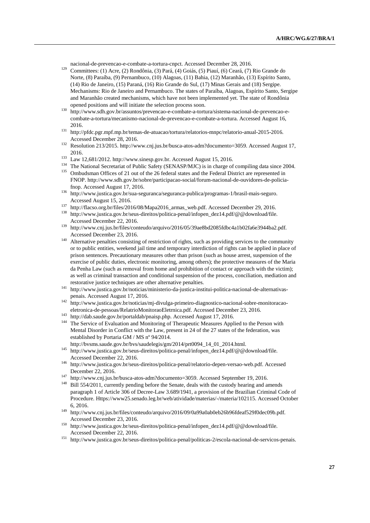nacional-de-prevencao-e-combate-a-tortura-cnpct. Accessed December 28, 2016.

- <sup>129</sup> Committees: (1) Acre, (2) Rondônia, (3) Pará, (4) Goiás, (5) Piauí, (6) Ceará, (7) Rio Grande do Norte, (8) Paraíba, (9) Pernambuco, (10) Alagoas, (11) Bahia, (12) Maranhão, (13) Espírito Santo, (14) Rio de Janeiro, (15) Paraná, (16) Rio Grande do Sul, (17) Minas Gerais and (18) Sergipe. Mechanisms: Rio de Janeiro and Pernambuco. The states of Paraíba, Alagoas, Espírito Santo, Sergipe and Maranhão created mechanisms, which have not been implemented yet. The state of Rondônia opened positions and will initiate the selection process soon.
- <sup>130</sup> http://www.sdh.gov.br/assuntos/prevencao-e-combate-a-tortura/sistema-nacional-de-prevencao-ecombate-a-tortura/mecanismo-nacional-de-prevencao-e-combate-a-tortura. Accessed August 16, 2016.
- <sup>131</sup> http://pfdc.pgr.mpf.mp.br/temas-de-atuacao/tortura/relatorios-mnpc/relatorio-anual-2015-2016. Accessed December 28, 2016.
- <sup>132</sup> Resolution 213/2015. http://www.cnj.jus.br/busca-atos-adm?documento=3059. Accessed August 17, 2016.
- <sup>133</sup> Law 12,681/2012. http://www.sinesp.gov.br. Accessed August 15, 2016.
- <sup>134</sup> The National Secretariat of Public Safety (SENASP/MJC) is in charge of compiling data since 2004.
- <sup>135</sup> Ombudsman Offices of 21 out of the 26 federal states and the Federal District are represented in FNOP. http://www.sdh.gov.br/sobre/participacao-social/forum-nacional-de-ouvidores-de-policiafnop. Accessed August 17, 2016.
- <sup>136</sup> http://www.justica.gov.br/sua-seguranca/seguranca-publica/programas-1/brasil-mais-seguro. Accessed August 15, 2016.
- <sup>137</sup> http://flacso.org.br/files/2016/08/Mapa2016\_armas\_web.pdf. Accessed December 29, 2016.
- <sup>138</sup> http://www.justica.gov.br/seus-direitos/politica-penal/infopen\_dez14.pdf/@@download/file. Accessed December 22, 2016.
- <sup>139</sup> http://www.cnj.jus.br/files/conteudo/arquivo/2016/05/39ae8bd2085fdbc4a1b02fa6e3944ba2.pdf. Accessed December 23, 2016.
- <sup>140</sup> Alternative penalties consisting of restriction of rights, such as providing services to the community or to public entities, weekend jail time and temporary interdiction of rights can be applied in place of prison sentences. Precautionary measures other than prison (such as house arrest, suspension of the exercise of public duties, electronic monitoring, among others); the protective measures of the Maria da Penha Law (such as removal from home and prohibition of contact or approach with the victim); as well as criminal transaction and conditional suspension of the process, conciliation, mediation and restorative justice techniques are other alternative penalties.
- <sup>141</sup> http://www.justica.gov.br/noticias/ministerio-da-justica-institui-politica-nacional-de-alternativaspenais. Accessed August 17, 2016.
- <sup>142</sup> http://www.justica.gov.br/noticias/mj-divulga-primeiro-diagnostico-nacional-sobre-monitoracaoeletronica-de-pessoas/RelatrioMonitoraoEletrnica.pdf. Accessed December 23, 2016.
- <sup>143</sup> http://dab.saude.gov.br/portaldab/pnaisp.php. Accessed August 17, 2016.
- <sup>144</sup> The Service of Evaluation and Monitoring of Therapeutic Measures Applied to the Person with Mental Disorder in Conflict with the Law, present in 24 of the 27 states of the federation, was established by Portaria GM / MS nº 94/2014.
- http://bvsms.saude.gov.br/bvs/saudelegis/gm/2014/prt0094\_14\_01\_2014.html.
- 145 http://www.justica.gov.br/seus-direitos/politica-penal/infopen\_dez14.pdf/@@download/file. Accessed December 22, 2016.
- <sup>146</sup> http://www.justica.gov.br/seus-direitos/politica-penal/relatorio-depen-versao-web.pdf. Accessed December 22, 2016.
- <sup>147</sup> http://www.cnj.jus.br/busca-atos-adm?documento=3059. Accessed September 19, 2016.
- <sup>148</sup> Bill 554/2011, currently pending before the Senate, deals with the custody hearing and amends paragraph 1 of Article 306 of Decree-Law 3.689/1941, a provision of the Brazilian Criminal Code of Procedure. Https://www25.senado.leg.br/web/atividade/materias/-/materia/102115. Accessed October 6, 2016.
- <sup>149</sup> http://www.cnj.jus.br/files/conteudo/arquivo/2016/09/0a99a0ab0eb26b96fdeaf529f0dec09b.pdf. Accessed December 23, 2016.
- <sup>150</sup> http://www.justica.gov.br/seus-direitos/politica-penal/infopen\_dez14.pdf/@@download/file. Accessed December 22, 2016.
- <sup>151</sup> http://www.justica.gov.br/seus-direitos/politica-penal/politicas-2/escola-nacional-de-servicos-penais.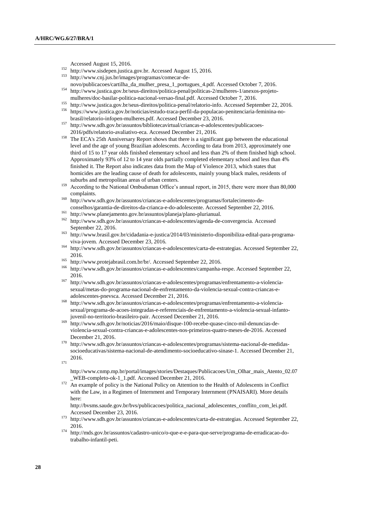Accessed August 15, 2016.

- <sup>152</sup> http://www.sisdepen.justica.gov.br. Accessed August 15, 2016.
- http://www.cnj.jus.br/images/programas/comecar-denovo/publicacoes/cartilha\_da\_mulher\_presa\_1\_portugues\_4.pdf. Accessed October 7, 2016.
- <sup>154</sup> http://www.justica.gov.br/seus-direitos/politica-penal/politicas-2/mulheres-1/anexos-projetomulheres/doc-basilar-politica-nacional-versao-final.pdf. Accessed October 7, 2016.
- <sup>155</sup> http://www.justica.gov.br/seus-direitos/politica-penal/relatorio-info. Accessed September 22, 2016. <sup>156</sup> https://www.justica.gov.br/noticias/estudo-traca-perfil-da-populacao-penitenciaria-feminina-no-
- brasil/relatorio-infopen-mulheres.pdf. Accessed December 23, 2016.
- <sup>157</sup> http://www.sdh.gov.br/assuntos/bibliotecavirtual/criancas-e-adolescentes/publicacoes-2016/pdfs/relatorio-avaliativo-eca. Accessed December 21, 2016.
- <sup>158</sup> The ECA's 25th Anniversary Report shows that there is a significant gap between the educational level and the age of young Brazilian adolescents. According to data from 2013, approximately one third of 15 to 17 year olds finished elementary school and less than 2% of them finished high school. Approximately 93% of 12 to 14 year olds partially completed elementary school and less than 4% finished it. The Report also indicates data from the Map of Violence 2013, which states that homicides are the leading cause of death for adolescents, mainly young black males, residents of suburbs and metropolitan areas of urban centers.
- <sup>159</sup> According to the National Ombudsman Office's annual report, in 2015, there were more than 80,000 complaints.
- <sup>160</sup> http://www.sdh.gov.br/assuntos/criancas-e-adolescentes/programas/fortalecimento-deconselhos/garantia-de-direitos-da-crianca-e-do-adolescente. Accessed September 22, 2016.
- <sup>161</sup> http://www.planejamento.gov.br/assuntos/planeja/plano-plurianual.
- <sup>162</sup> http://www.sdh.gov.br/assuntos/criancas-e-adolescentes/agenda-de-convergencia. Accessed September 22, 2016.
- <sup>163</sup> http://www.brasil.gov.br/cidadania-e-justica/2014/03/ministerio-disponibiliza-edital-para-programaviva-jovem. Accessed December 23, 2016.
- <sup>164</sup> http://www.sdh.gov.br/assuntos/criancas-e-adolescentes/carta-de-estrategias. Accessed September 22, 2016.
- <sup>165</sup> http://www.protejabrasil.com.br/br/. Accessed September 22, 2016.
- <sup>166</sup> http://www.sdh.gov.br/assuntos/criancas-e-adolescentes/campanha-respe. Accessed September 22, 2016.
- <sup>167</sup> http://www.sdh.gov.br/assuntos/criancas-e-adolescentes/programas/enfrentamento-a-violenciasexual/metas-do-programa-nacional-de-enfrentamento-da-violencia-sexual-contra-criancas-eadolescentes-pnevsca. Accessed December 21, 2016.
- <sup>168</sup> http://www.sdh.gov.br/assuntos/criancas-e-adolescentes/programas/enfrentamento-a-violenciasexual/programa-de-acoes-integradas-e-referenciais-de-enfrentamento-a-violencia-sexual-infantojuvenil-no-territorio-brasileiro-pair. Accessed December 21, 2016.
- <sup>169</sup> http://www.sdh.gov.br/noticias/2016/maio/disque-100-recebe-quase-cinco-mil-denuncias-deviolencia-sexual-contra-criancas-e-adolescentes-nos-primeiros-quatro-meses-de-2016. Accessed December 21, 2016.
- <sup>170</sup> http://www.sdh.gov.br/assuntos/criancas-e-adolescentes/programas/sistema-nacional-de-medidassocioeducativas/sistema-nacional-de-atendimento-socioeducativo-sinase-1. Accessed December 21, 2016.
- 171

http://www.cnmp.mp.br/portal/images/stories/Destaques/Publicacoes/Um\_Olhar\_mais\_Atento\_02.07 \_WEB-completo-ok-1\_1.pdf. Accessed December 21, 2016.

 $\overline{172}$  An example of policy is the National Policy on Attention to the Health of Adolescents in Conflict with the Law, in a Regimen of Internment and Temporary Internment (PNAISARI). More details here:

http://bvsms.saude.gov.br/bvs/publicacoes/politica\_nacional\_adolescentes\_conflito\_com\_lei.pdf. Accessed December 23, 2016.

- <sup>173</sup> http://www.sdh.gov.br/assuntos/criancas-e-adolescentes/carta-de-estrategias. Accessed September 22, 2016.
- <sup>174</sup> http://mds.gov.br/assuntos/cadastro-unico/o-que-e-e-para-que-serve/programa-de-erradicacao-dotrabalho-infantil-peti.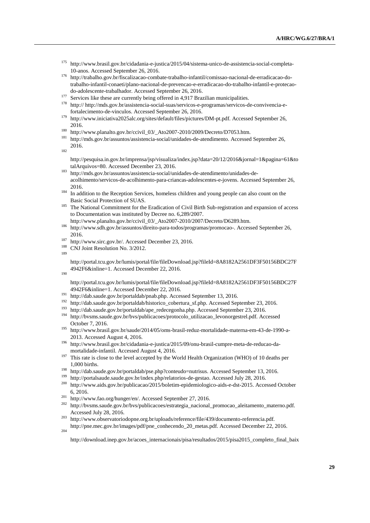- <sup>175</sup> http://www.brasil.gov.br/cidadania-e-justica/2015/04/sistema-unico-de-assistencia-social-completa-10-anos. Accessed September 26, 2016.
- <sup>176</sup> http://trabalho.gov.br/fiscalizacao-combate-trabalho-infantil/comissao-nacional-de-erradicacao-dotrabalho-infantil-conaeti/plano-nacional-de-prevencao-e-erradicacao-do-trabalho-infantil-e-protecaodo-adolescente-trabalhador. Accessed September 26, 2016.
- <sup>177</sup> Services like these are currently being offered in 4,917 Brazilian municipalities.
- <sup>178</sup> http:// http://mds.gov.br/assistencia-social-suas/servicos-e-programas/servicos-de-convivencia-efortalecimento-de-vinculos. Accessed September 26, 2016.
- <sup>179</sup> http://www.iniciativa2025alc.org/sites/default/files/pictures/DM-pt.pdf. Accessed September 26, 2016.
- <sup>180</sup> http://www.planalto.gov.br/ccivil\_03/\_Ato2007-2010/2009/Decreto/D7053.htm.
- <sup>181</sup> http://mds.gov.br/assuntos/assistencia-social/unidades-de-atendimento. Accessed September 26, 2016.
- 182

http://pesquisa.in.gov.br/imprensa/jsp/visualiza/index.jsp?data=20/12/2016&jornal=1&pagina=61&to talArquivos=80. Accessed December 23, 2016.

- <sup>183</sup> http://mds.gov.br/assuntos/assistencia-social/unidades-de-atendimento/unidades-deacolhimento/servicos-de-acolhimento-para-criancas-adolescentes-e-jovens. Accessed September 26, 2016.
- <sup>184</sup> In addition to the Reception Services, homeless children and young people can also count on the Basic Social Protection of SUAS.
- <sup>185</sup> The National Commitment for the Eradication of Civil Birth Sub-registration and expansion of access to Documentation was instituted by Decree no. 6,289/2007.
- http://www.planalto.gov.br/ccivil\_03/\_Ato2007-2010/2007/Decreto/D6289.htm.
- <sup>186</sup> http://www.sdh.gov.br/assuntos/direito-para-todos/programas/promocao-. Accessed September 26, 2016.
- <sup>187</sup> http://www.sirc.gov.br/. Accessed December 23, 2016.
- CNJ Joint Resolution No. 3/2012.
- 189

http://portal.tcu.gov.br/lumis/portal/file/fileDownload.jsp?fileId=8A8182A2561DF3F50156BDC27F 4942F6&inline=1. Accessed December 22, 2016.

190

204

http://portal.tcu.gov.br/lumis/portal/file/fileDownload.jsp?fileId=8A8182A2561DF3F50156BDC27F 4942F6&inline=1. Accessed December 22, 2016.

- <sup>191</sup> http://dab.saude.gov.br/portaldab/pnab.php. Accessed September 13, 2016.
- <sup>192</sup> http://dab.saude.gov.br/portaldab/historico\_cobertura\_sf.php. Accessed September 23, 2016.
- <sup>193</sup> http://dab.saude.gov.br/portaldab/ape\_redecegonha.php. Accessed September 23, 2016.
- <sup>194</sup> http://bvsms.saude.gov.br/bvs/publicacoes/protocolo\_utilizacao\_levonorgestrel.pdf. Accessed October 7, 2016.
- <sup>195</sup> http://www.brasil.gov.br/saude/2014/05/oms-brasil-reduz-mortalidade-materna-em-43-de-1990-a-2013. Accessed August 4, 2016.
- <sup>196</sup> http://www.brasil.gov.br/cidadania-e-justica/2015/09/onu-brasil-cumpre-meta-de-reducao-damortalidade-infantil. Accessed August 4, 2016.
- <sup>197</sup> This rate is close to the level accepted by the World Health Organization (WHO) of 10 deaths per 1,000 births.
- <sup>198</sup> http://dab.saude.gov.br/portaldab/pse.php?conteudo=nutrisus. Accessed September 13, 2016.
- <sup>199</sup> http://portalsaude.saude.gov.br/index.php/relatorios-de-gestao. Accessed July 28, 2016.<br><sup>200</sup> http://www.aids.gov.br/publicaceo/2015/bolatim.apidamiologico.gids.e.dst.2015.Acces
- <sup>200</sup> http://www.aids.gov.br/publicacao/2015/boletim-epidemiologico-aids-e-dst-2015. Accessed October 6, 2016.
- <sup>201</sup> http://www.fao.org/hunger/en/. Accessed September 27, 2016.
- <sup>202</sup> http://bvsms.saude.gov.br/bvs/publicacoes/estrategia\_nacional\_promocao\_aleitamento\_materno.pdf. Accessed July 28, 2016.
- <sup>203</sup> http://www.observatoriodopne.org.br/uploads/reference/file/439/documento-referencia.pdf. http://pne.mec.gov.br/images/pdf/pne\_conhecendo\_20\_metas.pdf. Accessed December 22, 2016.
	-

http://download.inep.gov.br/acoes\_internacionais/pisa/resultados/2015/pisa2015\_completo\_final\_baix